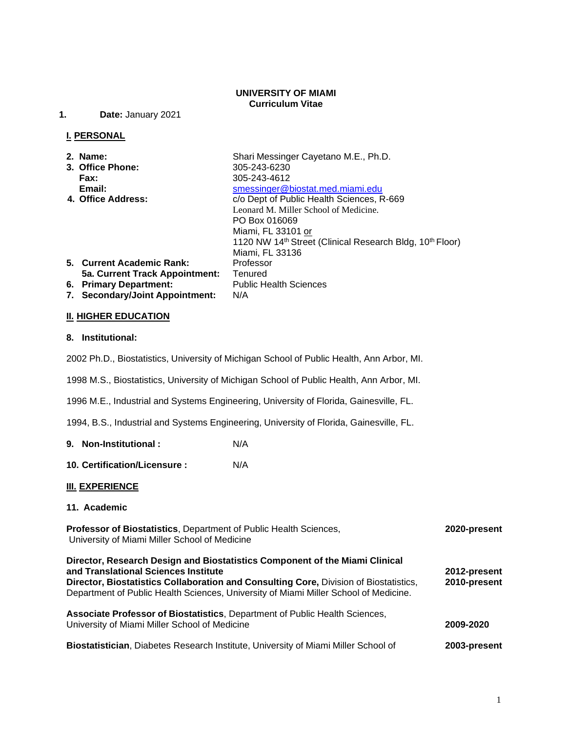#### **UNIVERSITY OF MIAMI Curriculum Vitae**

**1. Date:** January 2021

#### **I. PERSONAL**

- 
- **3. Office Phone: Fax:** 305-243-4612
- 

**2. Name:** Shari Messinger Cayetano M.E., Ph.D.<br> **3. Office Phone:** 305-243-6230 **Email:** Smessinger@biostat.med.miami.edu<br>3. **4. Office Address:** C/o Dept of Public Health Sciences. R  $\overline{\text{c/o}}$  Dept of Public Health Sciences, R-669 Leonard M. Miller School of Medicine. PO Box 016069 Miami, FL 33101 or 1120 NW 14<sup>th</sup> Street (Clinical Research Bldg, 10<sup>th</sup> Floor) Miami, FL 33136 **5. Current Academic Rank:** Professor **5a. Current Track Appointment:** Tenured **6. Primary Department:** Public Health Sciences **7. Secondary/Joint Appointment:** N/A

**II. HIGHER EDUCATION**

#### **8. Institutional:**

2002 Ph.D., Biostatistics, University of Michigan School of Public Health, Ann Arbor, MI.

1998 M.S., Biostatistics, University of Michigan School of Public Health, Ann Arbor, MI.

1996 M.E., Industrial and Systems Engineering, University of Florida, Gainesville, FL.

1994, B.S., Industrial and Systems Engineering, University of Florida, Gainesville, FL.

**9. Non-Institutional :** N/A

**10. Certification/Licensure :** N/A

#### **III. EXPERIENCE**

#### **11. Academic**

**Professor of Biostatistics**, Department of Public Health Sciences, **2020-present** University of Miami Miller School of Medicine

#### **Director, Research Design and Biostatistics Component of the Miami Clinical and Translational Sciences Institute 2012-present Director, Biostatistics Collaboration and Consulting Core,** Division of Biostatistics, **2010-present** Department of Public Health Sciences, University of Miami Miller School of Medicine.

## **Associate Professor of Biostatistics**, Department of Public Health Sciences, University of Miami Miller School of Medicine **2009-2020**

**Biostatistician**, Diabetes Research Institute, University of Miami Miller School of **2003-present**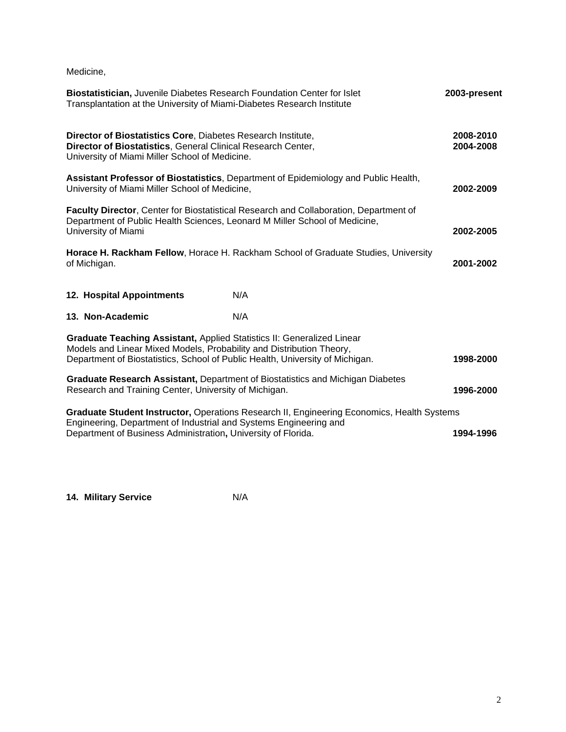Medicine,

| Biostatistician, Juvenile Diabetes Research Foundation Center for Islet<br>Transplantation at the University of Miami-Diabetes Research Institute                                                                               |                                                                                     | 2003-present           |
|---------------------------------------------------------------------------------------------------------------------------------------------------------------------------------------------------------------------------------|-------------------------------------------------------------------------------------|------------------------|
| Director of Biostatistics Core, Diabetes Research Institute,<br>Director of Biostatistics, General Clinical Research Center,<br>University of Miami Miller School of Medicine.                                                  |                                                                                     | 2008-2010<br>2004-2008 |
| University of Miami Miller School of Medicine,                                                                                                                                                                                  | Assistant Professor of Biostatistics, Department of Epidemiology and Public Health, | 2002-2009              |
| Faculty Director, Center for Biostatistical Research and Collaboration, Department of<br>Department of Public Health Sciences, Leonard M Miller School of Medicine,<br>University of Miami                                      |                                                                                     | 2002-2005              |
| of Michigan.                                                                                                                                                                                                                    | Horace H. Rackham Fellow, Horace H. Rackham School of Graduate Studies, University  | 2001-2002              |
| 12. Hospital Appointments                                                                                                                                                                                                       | N/A                                                                                 |                        |
| 13. Non-Academic                                                                                                                                                                                                                | N/A                                                                                 |                        |
| Graduate Teaching Assistant, Applied Statistics II: Generalized Linear<br>Models and Linear Mixed Models, Probability and Distribution Theory,<br>Department of Biostatistics, School of Public Health, University of Michigan. |                                                                                     | 1998-2000              |
| Graduate Research Assistant, Department of Biostatistics and Michigan Diabetes<br>Research and Training Center, University of Michigan.<br>1996-2000                                                                            |                                                                                     |                        |
| Graduate Student Instructor, Operations Research II, Engineering Economics, Health Systems<br>Engineering, Department of Industrial and Systems Engineering and                                                                 |                                                                                     |                        |
| Department of Business Administration, University of Florida.                                                                                                                                                                   |                                                                                     | 1994-1996              |

**14. Military Service** N/A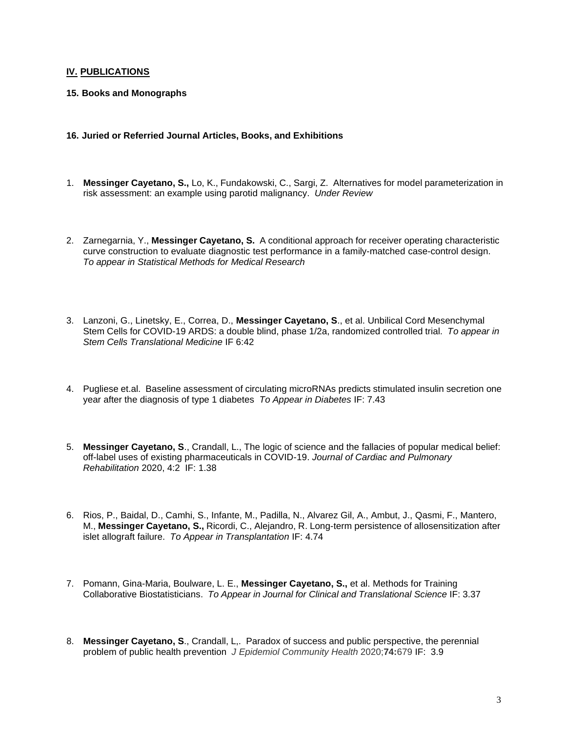#### **IV. PUBLICATIONS**

- **15. Books and Monographs**
- **16. Juried or Referried Journal Articles, Books, and Exhibitions**
- 1. **Messinger Cayetano, S.,** Lo, K., Fundakowski, C., Sargi, Z. Alternatives for model parameterization in risk assessment: an example using parotid malignancy. *Under Review*
- 2. Zarnegarnia, Y., **Messinger Cayetano, S.** A conditional approach for receiver operating characteristic curve construction to evaluate diagnostic test performance in a family-matched case-control design. *To appear in Statistical Methods for Medical Research*
- 3. Lanzoni, G., Linetsky, E., Correa, D., **Messinger Cayetano, S**., et al. Unbilical Cord Mesenchymal Stem Cells for COVID-19 ARDS: a double blind, phase 1/2a, randomized controlled trial. *To appear in Stem Cells Translational Medicine* IF 6:42
- 4. Pugliese et.al. Baseline assessment of circulating microRNAs predicts stimulated insulin secretion one year after the diagnosis of type 1 diabetes *To Appear in Diabetes* IF: 7.43
- 5. **Messinger Cayetano, S**., Crandall, L., The logic of science and the fallacies of popular medical belief: off-label uses of existing pharmaceuticals in COVID-19. *Journal of Cardiac and Pulmonary Rehabilitation* 2020, 4:2 IF: 1.38
- 6. Rios, P., Baidal, D., Camhi, S., Infante, M., Padilla, N., Alvarez Gil, A., Ambut, J., Qasmi, F., Mantero, M., **Messinger Cayetano, S.,** Ricordi, C., Alejandro, R. Long-term persistence of allosensitization after islet allograft failure. *To Appear in Transplantation* IF: 4.74
- 7. Pomann, Gina-Maria, Boulware, L. E., **Messinger Cayetano, S.,** et al. Methods for Training Collaborative Biostatisticians. *To Appear in Journal for Clinical and Translational Science* IF: 3.37
- 8. **Messinger Cayetano, S**., Crandall, L,. Paradox of success and public perspective, the perennial problem of public health prevention *J Epidemiol Community Health* 2020;**74:**679 IF: 3.9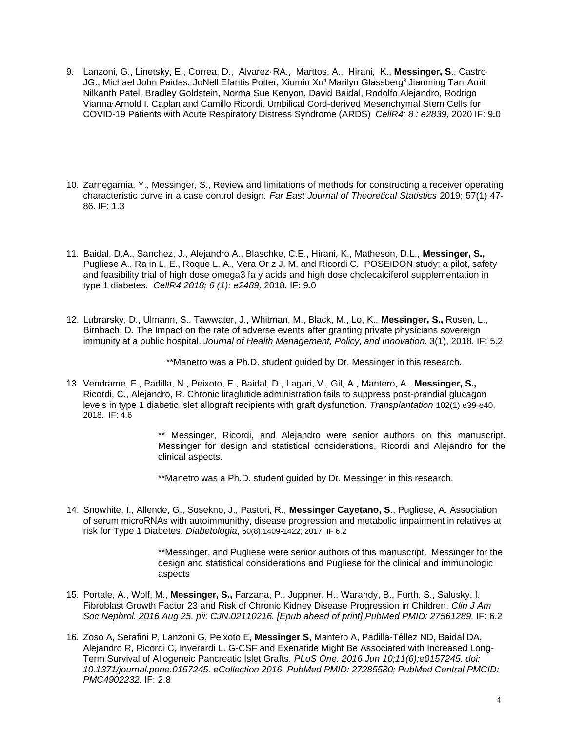- 9. Lanzoni, G., Linetsky, E., Correa, D., Alvarez, RA., Marttos, A., Hirani, K., **Messinger, S**., Castro, JG., Michael John Paidas, JoNell Efantis Potter, Xiumin Xu<sup>1</sup> Marilyn Glassberg<sup>3</sup> Jianming Tan Amit Nilkanth Patel, Bradley Goldstein, Norma Sue Kenyon, David Baidal, Rodolfo Alejandro, Rodrigo Vianna, Arnold I. Caplan and Camillo Ricordi. Umbilical Cord-derived Mesenchymal Stem Cells for COVID-19 Patients with Acute Respiratory Distress Syndrome (ARDS) *CellR4; 8 : e2839,* 2020 IF: 9*.*0
- 10. Zarnegarnia, Y., Messinger, S., Review and limitations of methods for constructing a receiver operating characteristic curve in a case control design*. Far East Journal of Theoretical Statistics* 2019; 57(1) 47- 86. IF: 1.3
- 11. Baidal, D.A., Sanchez, J., Alejandro A., Blaschke, C.E., Hirani, K., Matheson, D.L., **Messinger, S.,** Pugliese A., Ra in L. E., Roque L. A., Vera Or z J. M. and Ricordi C*.* POSEIDON study: a pilot, safety and feasibility trial of high dose omega3 fa y acids and high dose cholecalciferol supplementation in type 1 diabetes. *CellR4 2018; 6 (1): e2489,* 2018. IF: 9*.*0
- 12. Lubrarsky, D., Ulmann, S., Tawwater, J., Whitman, M., Black, M., Lo, K., **Messinger, S.,** Rosen, L., Birnbach, D. The Impact on the rate of adverse events after granting private physicians sovereign immunity at a public hospital. *Journal of Health Management, Policy, and Innovation.* 3(1), 2018. IF: 5.2

\*\*Manetro was a Ph.D. student guided by Dr. Messinger in this research.

13. Vendrame, F., Padilla, N., Peixoto, E., Baidal, D., Lagari, V., Gil, A., Mantero, A., **Messinger, S.,** Ricordi, C., Alejandro, R. Chronic liraglutide administration fails to suppress post-prandial glucagon levels in type 1 diabetic islet allograft recipients with graft dysfunction. *Transplantation* 102(1) e39-e40, 2018. IF: 4.6

> \*\* Messinger, Ricordi, and Alejandro were senior authors on this manuscript. Messinger for design and statistical considerations, Ricordi and Alejandro for the clinical aspects.

\*\*Manetro was a Ph.D. student guided by Dr. Messinger in this research.

14. Snowhite, I., Allende, G., Sosekno, J., Pastori, R., **Messinger Cayetano, S**., Pugliese, A. Association of serum microRNAs with autoimmunithy, disease progression and metabolic impairment in relatives at risk for Type 1 Diabetes. *Diabetologia*, 60(8):1409-1422; 2017 IF 6.2

> \*\*Messinger, and Pugliese were senior authors of this manuscript. Messinger for the design and statistical considerations and Pugliese for the clinical and immunologic aspects

- 15. Portale, A., Wolf, M., **Messinger, S.,** Farzana, P., Juppner, H., Warandy, B., Furth, S., Salusky, I. Fibroblast Growth Factor 23 and Risk of Chronic Kidney Disease Progression in Children. *Clin J Am Soc Nephrol. 2016 Aug 25. pii: CJN.02110216. [Epub ahead of print] PubMed PMID: 27561289.* IF: 6.2
- 16. Zoso A, Serafini P, Lanzoni G, Peixoto E, **Messinger S**, Mantero A, Padilla-Téllez ND, Baidal DA, Alejandro R, Ricordi C, Inverardi L. [G-CSF and Exenatide Might Be Associated with Increased Long-](http://www.ncbi.nlm.nih.gov/pubmed/27285580)[Term Survival of Allogeneic Pancreatic Islet Grafts.](http://www.ncbi.nlm.nih.gov/pubmed/27285580) *PLoS One. 2016 Jun 10;11(6):e0157245. doi: 10.1371/journal.pone.0157245. eCollection 2016. PubMed PMID: 27285580; PubMed Central PMCID: PMC4902232.* IF: 2.8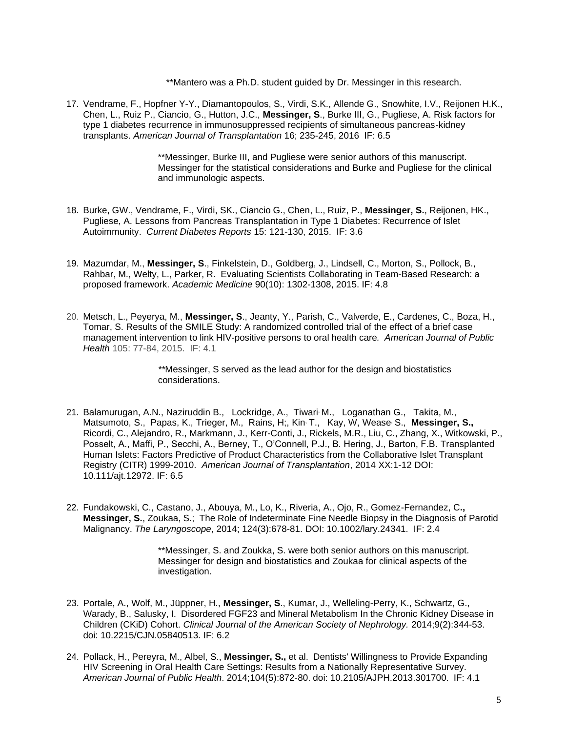\*\*Mantero was a Ph.D. student guided by Dr. Messinger in this research.

17. Vendrame, F., Hopfner Y-Y., Diamantopoulos, S., Virdi, S.K., Allende G., Snowhite, I.V., Reijonen H.K., Chen, L., Ruiz P., Ciancio, G., Hutton, J.C., **Messinger, S**., Burke III, G., Pugliese, A. Risk factors for type 1 diabetes recurrence in immunosuppressed recipients of simultaneous pancreas-kidney transplants. *American Journal of Transplantation* 16; 235-245, 2016 IF: 6.5

> \*\*Messinger, Burke III, and Pugliese were senior authors of this manuscript. Messinger for the statistical considerations and Burke and Pugliese for the clinical and immunologic aspects.

- 18. Burke, GW., Vendrame, F., Virdi, SK., Ciancio G., Chen, L., Ruiz, P., **Messinger, S.**, Reijonen, HK., Pugliese, A. Lessons from Pancreas Transplantation in Type 1 Diabetes: Recurrence of Islet Autoimmunity. *Current Diabetes Reports* 15: 121-130, 2015. IF: 3.6
- 19. Mazumdar, M., **Messinger, S**., Finkelstein, D., Goldberg, J., Lindsell, C., Morton, S., Pollock, B., Rahbar, M., Welty, L., Parker, R. Evaluating Scientists Collaborating in Team-Based Research: a proposed framework. *Academic Medicine* 90(10): 1302-1308, 2015. IF: 4.8
- 20. Metsch, L., Peyerya, M., **Messinger, S**., Jeanty, Y., Parish, C., Valverde, E., Cardenes, C., Boza, H., Tomar, S. Results of the SMILE Study: A randomized controlled trial of the effect of a brief case management intervention to link HIV-positive persons to oral health care*. American Journal of Public Health* 105: 77-84, 2015. IF: 4.1

*\*\**Messinger, S served as the lead author for the design and biostatistics considerations.

- 21. Balamurugan, A.N., Naziruddin B., Lockridge, A., Tiwari, M., Loganathan G., Takita, M., Matsumoto, S., Papas, K., Trieger, M., Rains, H;, Kin, T., Kay, W, Wease, S., **Messinger, S.,** Ricordi, C., Alejandro, R., Markmann, J., Kerr-Conti, J., Rickels, M.R., Liu, C., Zhang, X., Witkowski, P., Posselt, A., Maffi, P., Secchi, A., Berney, T., O'Connell, P.J., B. Hering, J., Barton, F.B. Transplanted Human Islets: Factors Predictive of Product Characteristics from the Collaborative Islet Transplant Registry (CITR) 1999-2010. *American Journal of Transplantation*, 2014 XX:1-12 DOI: 10.111/ajt.12972. IF: 6.5
- 22. Fundakowski, C., Castano, J., Abouya, M., Lo, K., Riveria, A., Ojo, R., Gomez-Fernandez, C**., Messinger, S.**, Zoukaa, S.; The Role of Indeterminate Fine Needle Biopsy in the Diagnosis of Parotid Malignancy. *The Laryngoscope*, 2014; 124(3):678-81. DOI: 10.1002/lary.24341. IF: 2.4

\*\*Messinger, S. and Zoukka, S. were both senior authors on this manuscript. Messinger for design and biostatistics and Zoukaa for clinical aspects of the investigation.

- 23. Portale, A., Wolf, M., Jüppner, H., **Messinger, S**., Kumar, J., Welleling-Perry, K., Schwartz, G., Warady, B., Salusky, I. Disordered FGF23 and Mineral Metabolism In the Chronic Kidney Disease in Children (CKiD) Cohort. *[Clinical Journal of the American Society of Nephrology.](http://www.ncbi.nlm.nih.gov/pubmed/?term=Portale%2C%2BA.%2C%2B%2BWolf%2C%2BM.%2C%2BJ%C3%BCppner%2C%2BHarald.%2C%2BMessinger%2C%2BS.%2C%2C)* 2014;9(2):344-53. doi: 10.2215/CJN.05840513. IF: 6.2
- 24. Pollack, H., Pereyra, M., Albel, S., **Messinger, S.,** et al. Dentists' Willingness to Provide Expanding HIV Screening in Oral Health Care Settings: Results from a Nationally Representative Survey. *[American](http://www.ncbi.nlm.nih.gov/pubmed/?term=Pollack%2C%2BH.%2C%2BPereyra%2C%2BM.%2C%2BAlbel%2C%2BS.%2C%2BMessinger%2C%2BS) Journal of Public Health*. 2014;104(5):872-80. doi: 10.2105/AJPH.2013.301700. IF: 4.1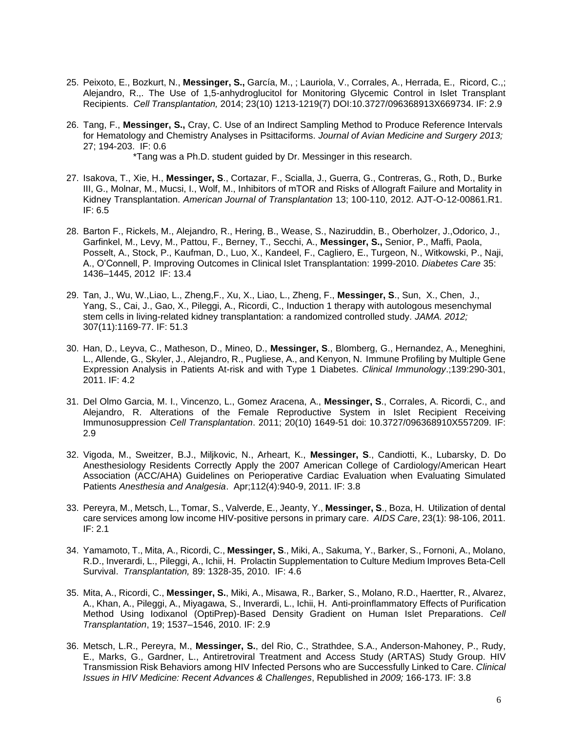- 25. Peixoto, E., Bozkurt, N., **Messinger, S.,** García, M., ; Lauriola, V., Corrales, A., Herrada, E., Ricord, C.,; Alejandro, R.,. The Use of 1,5-anhydroglucitol for Monitoring Glycemic Control in Islet Transplant Recipients. *Cell Transplantation,* 2014; 23(10) 1213-1219(7) DOI:10.3727/096368913X669734. IF: 2.9
- 26. Tang, F., **Messinger, S.,** Cray, C. Use of an Indirect Sampling Method to Produce Reference Intervals for Hematology and Chemistry Analyses in Psittaciforms. *Journal of Avian Medicine and Surgery 2013;* 27; 194-203. IF: 0.6

\*Tang was a Ph.D. student guided by Dr. Messinger in this research.

- 27. Isakova, T., Xie, H., **Messinger, S**., Cortazar, F., Scialla, J., Guerra, G., Contreras, G., Roth, D., Burke III, G., Molnar, M., Mucsi, I., Wolf, M., Inhibitors of mTOR and Risks of Allograft Failure and Mortality in Kidney Transplantation. *American Journal of Transplantation* 13; 100-110, 2012. AJT-O-12-00861.R1. IF: 6.5
- 28. Barton F., Rickels, M., Alejandro, R., Hering, B., Wease, S., Naziruddin, B., Oberholzer, J.,Odorico, J., Garfinkel, M., Levy, M., Pattou, F., Berney, T., Secchi, A., **Messinger, S.,** Senior, P., Maffi, Paola, Posselt, A., Stock, P., Kaufman, D., Luo, X., Kandeel, F., Cagliero, E., Turgeon, N., Witkowski, P., Naji, A., O'Connell, P. Improving Outcomes in Clinical Islet Transplantation: 1999-2010. *Diabetes Care* 35: 1436–1445, 2012 IF: 13.4
- 29. Tan, J., Wu, W.,Liao, L., Zheng,F., Xu, X., Liao, L., Zheng, F., **Messinger, S**., Sun, X., Chen, J., Yang, S., Cai, J., Gao, X., Pileggi, A., Ricordi, C., Induction 1 therapy with autologous mesenchymal stem cells in living-related kidney transplantation: a randomized controlled study. *JAMA. 2012;* 307(11):1169-77. IF: 51.3
- 30. Han, D., Leyva, C., Matheson, D., Mineo, D., **Messinger, S**., Blomberg, G., Hernandez, A., Meneghini, L., Allende, G., Skyler, J., Alejandro, R., Pugliese, A., and Kenyon, N. Immune Profiling by Multiple Gene Expression Analysis in Patients At-risk and with Type 1 Diabetes. *Clinical Immunology*.;139:290-301, 2011. IF: 4.2
- 31. Del Olmo Garcia, M. I., Vincenzo, L., Gomez Aracena, A., **Messinger, S**., Corrales, A. Ricordi, C., and Alejandro, R. Alterations of the Female Reproductive System in Islet Recipient Receiving Immunosuppression. *Cell Transplantation*. 2011; 20(10) 1649-51 doi: 10.3727/096368910X557209. IF: 2.9
- 32. Vigoda, M., Sweitzer, B.J., Miljkovic, N., Arheart, K., **Messinger, S**., Candiotti, K., Lubarsky, D. Do Anesthesiology Residents Correctly Apply the 2007 American College of Cardiology/American Heart Association (ACC/AHA) Guidelines on Perioperative Cardiac Evaluation when Evaluating Simulated Patients *Anesthesia and Analgesia*. Apr;112(4):940-9, 2011. IF: 3.8
- 33. Pereyra, M., Metsch, L., Tomar, S., Valverde, E., Jeanty, Y., **Messinger, S**., Boza, H. Utilization of dental care services among low income HIV-positive persons in primary care. *AIDS Care*, 23(1): 98-106, 2011. IF: 2.1
- 34. Yamamoto, T., Mita, A., Ricordi, C., **Messinger, S**., Miki, A., Sakuma, Y., Barker, S., Fornoni, A., Molano, R.D., Inverardi, L., Pileggi, A., Ichii, H. Prolactin Supplementation to Culture Medium Improves Beta-Cell Survival. *Transplantation,* 89: 1328-35, 2010. IF: 4.6
- 35. Mita, A., Ricordi, C., **Messinger, S.**, Miki, A., Misawa, R., Barker, S., Molano, R.D., Haertter, R., Alvarez, A., Khan, A., Pileggi, A., Miyagawa, S., Inverardi, L., Ichii, H. Anti-proinflammatory Effects of Purification Method Using Iodixanol (OptiPrep)-Based Density Gradient on Human Islet Preparations. *Cell Transplantation*, 19; 1537–1546, 2010. IF: 2.9
- 36. Metsch, L.R., Pereyra, M., **Messinger, S.**, del Rio, C., Strathdee, S.A., Anderson-Mahoney, P., Rudy, E., Marks, G., Gardner, L., Antiretroviral Treatment and Access Study (ARTAS) Study Group. HIV Transmission Risk Behaviors among HIV Infected Persons who are Successfully Linked to Care. *Clinical Issues in HIV Medicine: Recent Advances & Challenges*, Republished in *2009;* 166-173. IF: 3.8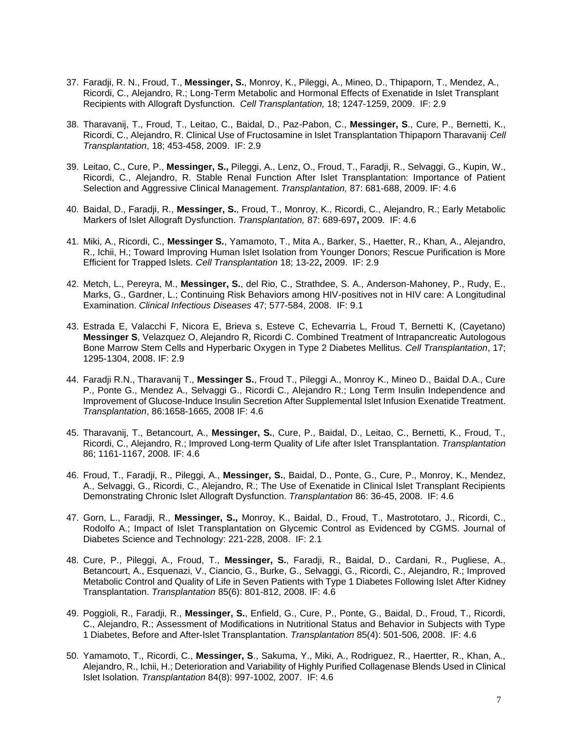- 37. Faradji, R. N., Froud, T., **Messinger, S.**, Monroy, K., Pileggi, A., Mineo, D., Thipaporn, T., Mendez, A., Ricordi, C., Alejandro, R.; Long-Term Metabolic and Hormonal Effects of Exenatide in Islet Transplant Recipients with Allograft Dysfunction. *Cell Transplantation,* 18; 1247-1259, 2009. IF: 2.9
- 38. Tharavanij, T., Froud, T., Leitao, C., Baidal, D., Paz-Pabon, C., **Messinger, S**., Cure, P., Bernetti, K., Ricordi, C., Alejandro, R. Clinical Use of Fructosamine in Islet Transplantation Thipaporn Tharavanij. *Cell Transplantation*, 18; 453-458, 2009. IF: 2.9
- 39. Leitao, C., Cure, P., **Messinger, S.,** Pileggi, A., Lenz, O., Froud, T., Faradji, R., Selvaggi, G., Kupin, W., Ricordi, C., Alejandro, R. Stable Renal Function After Islet Transplantation: Importance of Patient Selection and Aggressive Clinical Management. *Transplantation,* 87: 681-688, 2009. IF: 4.6
- 40. Baidal, D., Faradji, R., **Messinger, S.**, Froud, T., Monroy, K., Ricordi, C., Alejandro, R.; Early Metabolic Markers of Islet Allograft Dysfunction. *Transplantation,* 87: 689-697**,** 2009*.* IF: 4.6
- 41. Miki, A., Ricordi, C., **Messinger S.**, Yamamoto, T., Mita A., Barker, S., Haetter, R., Khan, A., Alejandro, R., Ichii, H.; Toward Improving Human Islet Isolation from Younger Donors; Rescue Purification is More Efficient for Trapped Islets. *Cell Transplantation* 18; 13-22**,** 2009. IF: 2.9
- 42. Metch, L., Pereyra, M., **Messinger, S.**, del Rio, C., Strathdee, S. A., Anderson-Mahoney, P., Rudy, E., Marks, G., Gardner, L.; Continuing Risk Behaviors among HIV-positives not in HIV care: A Longitudinal Examination. *Clinical Infectious Diseases* 47; 577-584, 2008. IF: 9.1
- 43. Estrada E, Valacchi F, Nicora E, Brieva s, Esteve C, Echevarria L, Froud T, Bernetti K, (Cayetano) **Messinger S**, Velazquez O, Alejandro R, Ricordi C. Combined Treatment of Intrapancreatic Autologous Bone Marrow Stem Cells and Hyperbaric Oxygen in Type 2 Diabetes Mellitus. *Cell Transplantation*, 17; 1295-1304, 2008. IF: 2.9
- 44. Faradji R.N., Tharavanij T., **Messinger S.**, Froud T., Pileggi A., Monroy K., Mineo D., Baidal D.A., Cure P., Ponte G., Mendez A., Selvaggi G., Ricordi C., Alejandro R.; Long Term Insulin Independence and Improvement of Glucose-Induce Insulin Secretion After Supplemental Islet Infusion Exenatide Treatment. *Transplantation*, 86:1658-1665, 2008 IF: 4.6
- 45. Tharavanij, T., Betancourt, A., **Messinger, S.**, Cure, P., Baidal, D., Leitao, C., Bernetti, K., Froud, T., Ricordi, C., Alejandro, R.; Improved Long-term Quality of Life after Islet Transplantation. *Transplantation* 86; 1161-1167, 2008*.* IF: 4.6
- 46. Froud, T., Faradji, R., Pileggi, A., **Messinger, S.**, Baidal, D., Ponte, G., Cure, P., Monroy, K., Mendez, A., Selvaggi, G., Ricordi, C., Alejandro, R.; The Use of Exenatide in Clinical Islet Transplant Recipients Demonstrating Chronic Islet Allograft Dysfunction. *Transplantation* 86: 36-45, 2008. IF: 4.6
- 47. Gorn, L., Faradji, R., **Messinger, S.,** Monroy, K., Baidal, D., Froud, T., Mastrototaro, J., Ricordi, C., Rodolfo A.; Impact of Islet Transplantation on Glycemic Control as Evidenced by CGMS. Journal of Diabetes Science and Technology: 221-228, 2008. IF: 2.1
- 48. Cure, P., Pileggi, A., Froud, T., **Messinger, S.**, Faradji, R., Baidal, D., Cardani, R., Pugliese, A., Betancourt, A., Esquenazi, V., Ciancio, G., Burke, G., Selvaggi, G., Ricordi, C., Alejandro, R.; Improved Metabolic Control and Quality of Life in Seven Patients with Type 1 Diabetes Following Islet After Kidney Transplantation. *Transplantation* 85(6): 801-812, 2008. IF: 4.6
- 49. Poggioli, R., Faradji, R., **Messinger, S.**, Enfield, G., Cure, P., Ponte, G., Baidal, D., Froud, T., Ricordi, C., Alejandro, R.; Assessment of Modifications in Nutritional Status and Behavior in Subjects with Type 1 Diabetes, Before and After-Islet Transplantation. *Transplantation* 85(4): 501-506*,* 2008. IF: 4.6
- 50. Yamamoto, T., Ricordi, C., **Messinger, S**., Sakuma, Y., Miki, A., Rodriguez, R., Haertter, R., Khan, A., Alejandro, R., Ichii, H.; Deterioration and Variability of Highly Purified Collagenase Blends Used in Clinical Islet Isolation*. Transplantation* 84(8): 997-1002*,* 2007. IF: 4.6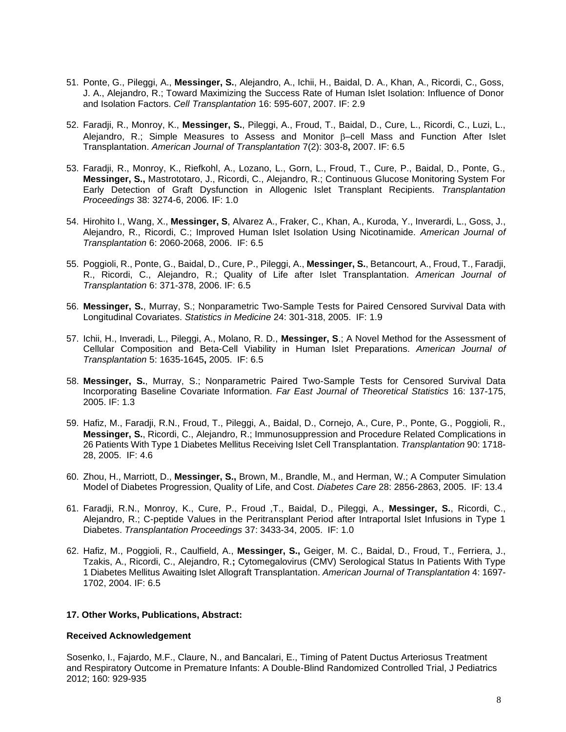- 51. Ponte, G., Pileggi, A., **Messinger, S.**, Alejandro, A., Ichii, H., Baidal, D. A., Khan, A., Ricordi, C., Goss, J. A., Alejandro, R.; Toward Maximizing the Success Rate of Human Islet Isolation: Influence of Donor and Isolation Factors. *Cell Transplantation* 16: 595-607, 2007. IF: 2.9
- 52. Faradji, R., Monroy, K., **Messinger, S.**, Pileggi, A., Froud, T., Baidal, D., Cure, L., Ricordi, C., Luzi, L., Alejandro, R.; Simple Measures to Assess and Monitor  $\beta$ –cell Mass and Function After Islet Transplantation. *American Journal of Transplantation* 7(2): 303-8**,** 2007. IF: 6.5
- 53. Faradji, R., Monroy, K., Riefkohl, A., Lozano, L., Gorn, L., Froud, T., Cure, P., Baidal, D., Ponte, G., **Messinger, S.,** Mastrototaro, J., Ricordi, C., Alejandro, R.; Continuous Glucose Monitoring System For Early Detection of Graft Dysfunction in Allogenic Islet Transplant Recipients. *Transplantation Proceedings* 38: 3274-6, 2006*.* IF: 1.0
- 54. Hirohito I., Wang, X., **Messinger, S**, Alvarez A., Fraker, C., Khan, A., Kuroda, Y., Inverardi, L., Goss, J., Alejandro, R., Ricordi, C.; Improved Human Islet Isolation Using Nicotinamide. *American Journal of Transplantation* 6: 2060-2068, 2006. IF: 6.5
- 55. Poggioli, R., Ponte, G., Baidal, D., Cure, P., Pileggi, A., **Messinger, S.**, Betancourt, A., Froud, T., Faradji, R., Ricordi, C., Alejandro, R.; Quality of Life after Islet Transplantation. *American Journal of Transplantation* 6: 371-378, 2006. IF: 6.5
- 56. **Messinger, S.**, Murray, S.; Nonparametric Two-Sample Tests for Paired Censored Survival Data with Longitudinal Covariates. *Statistics in Medicine* 24: 301-318, 2005. IF: 1.9
- 57. Ichii, H., Inveradi, L., Pileggi, A., Molano, R. D., **Messinger, S**.; A Novel Method for the Assessment of Cellular Composition and Beta-Cell Viability in Human Islet Preparations. *American Journal of Transplantation* 5: 1635-1645**,** 2005. IF: 6.5
- 58. **Messinger, S.**, Murray, S.; Nonparametric Paired Two-Sample Tests for Censored Survival Data Incorporating Baseline Covariate Information. *Far East Journal of Theoretical Statistics* 16: 137-175, 2005. IF: 1.3
- 59. Hafiz, M., Faradji, R.N., Froud, T., Pileggi, A., Baidal, D., Cornejo, A., Cure, P., Ponte, G., Poggioli, R., **Messinger, S.**, Ricordi, C., Alejandro, R.; Immunosuppression and Procedure Related Complications in 26 Patients With Type 1 Diabetes Mellitus Receiving Islet Cell Transplantation. *Transplantation* 90: 1718- 28, 2005. IF: 4.6
- 60. Zhou, H., Marriott, D., **Messinger, S.,** Brown, M., Brandle, M., and Herman, W.; A Computer Simulation Model of Diabetes Progression, Quality of Life, and Cost. *Diabetes Care* 28: 2856-2863, 2005. IF: 13.4
- 61. Faradji, R.N., Monroy, K., Cure, P., Froud ,T., Baidal, D., Pileggi, A., **Messinger, S.**, Ricordi, C., Alejandro, R.; C-peptide Values in the Peritransplant Period after Intraportal Islet Infusions in Type 1 Diabetes. *Transplantation Proceedings* 37: 3433-34, 2005. IF: 1.0
- 62. Hafiz, M., Poggioli, R., Caulfield, A., **Messinger, S.,** Geiger, M. C., Baidal, D., Froud, T., Ferriera, J., Tzakis, A., Ricordi, C., Alejandro, R.**;** Cytomegalovirus (CMV) Serological Status In Patients With Type 1 Diabetes Mellitus Awaiting Islet Allograft Transplantation. *American Journal of Transplantation* 4: 1697- 1702, 2004. IF: 6.5

#### **17. Other Works, Publications, Abstract:**

#### **Received Acknowledgement**

Sosenko, I., Fajardo, M.F., Claure, N., and Bancalari, E., Timing of Patent Ductus Arteriosus Treatment and Respiratory Outcome in Premature Infants: A Double-Blind Randomized Controlled Trial, J Pediatrics 2012; 160: 929-935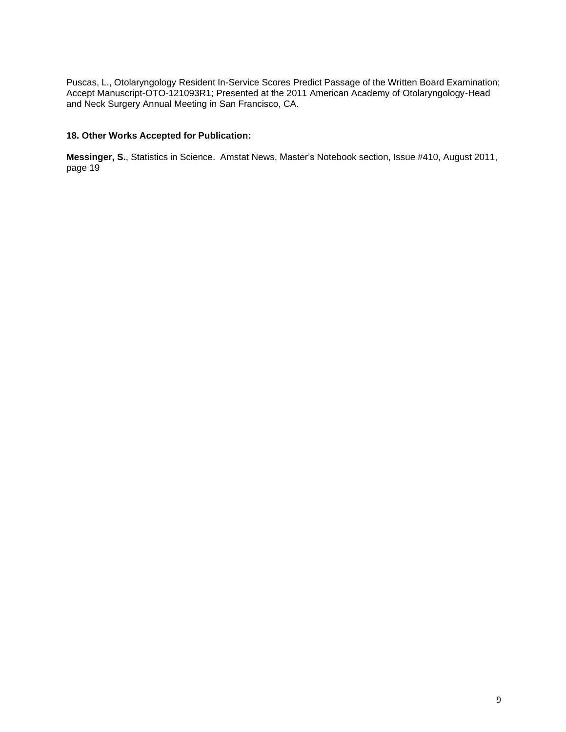Puscas, L., Otolaryngology Resident In-Service Scores Predict Passage of the Written Board Examination; Accept Manuscript-OTO-121093R1; Presented at the 2011 American Academy of Otolaryngology-Head and Neck Surgery Annual Meeting in San Francisco, CA.

#### **18. Other Works Accepted for Publication:**

**Messinger, S.**, Statistics in Science. Amstat News, Master's Notebook section, Issue #410, August 2011, page 19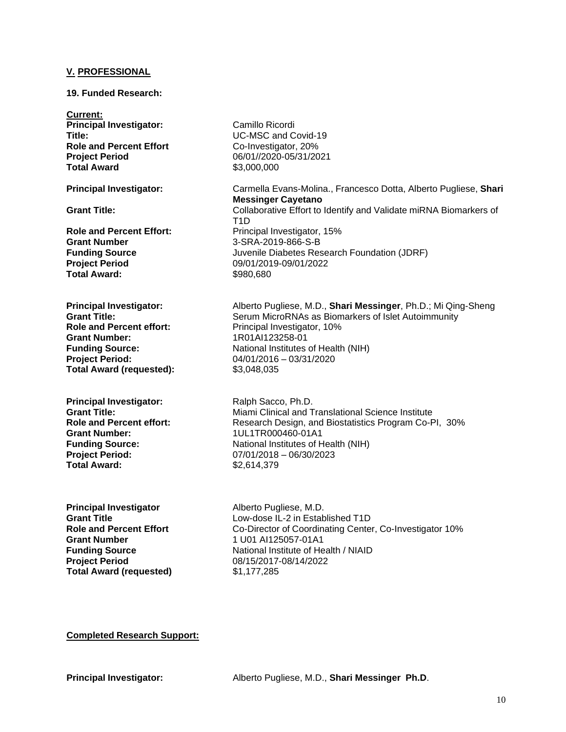#### **V. PROFESSIONAL**

#### **19. Funded Research:**

**Current: Principal Investigator:** Camillo Ricordi **Title:** UC-MSC and Covid-19 **Role** and **Percent Effort** Co-Investigator, 20% **Project Period** 06/01//2020-05/31/2021 **Total Award** \$3,000,000

**Grant Number** 3-SRA-2019-866-S-B **Project Period** 09/01/2019-09/01/2022 **Total Award:** \$980,680

**Grant Number:** 1R01AI123258-01 **Project Period:** 04/01/2016 – 03/31/2020 **Total Award (requested):** \$3,048,035

**Principal Investigator:** Ralph Sacco, Ph.D.<br> **Grant Title:** Miami Clinical and T **Grant Number:** 1UL1TR000460-01A1 **Total Award:** \$2,614,379

**Principal Investigator** Alberto Pugliese, M.D.<br>**Grant Title Alberto Pugliese II -2 in Estab Grant Number** 1 U01 AI125057-01A1 **Project Period** 08/15/2017-08/14/2022 **Total Award (requested)** \$1,177,285

**Principal Investigator:** Carmella Evans-Molina., Francesco Dotta, Alberto Pugliese, **Shari Messinger Cayetano Grant Title:** Collaborative Effort to Identify and Validate miRNA Biomarkers of T1D **Role and Percent Effort:** Principal Investigator, 15% **Funding Source** Juvenile Diabetes Research Foundation (JDRF)

**Principal Investigator:** Alberto Pugliese, M.D., **Shari Messinger**, Ph.D.; Mi Qing-Sheng<br> **Grant Title:** Serum MicroRNAs as Biomarkers of Islet Autoimmunity **Grant Title:**<br> **Grant Title:** Serum MicroRNAs as Biomarkers of Islet Autoimmunity<br> **Role and Percent effort:** Principal Investigator, 10% **Principal Investigator, 10% Funding Source:** National Institutes of Health (NIH)

**Miami Clinical and Translational Science Institute Role and Percent effort:** Research Design, and Biostatistics Program Co-PI, 30% **Funding Source:** National Institutes of Health (NIH) **Project Period:** 07/01/2018 – 06/30/2023

Low-dose IL-2 in Established T1D **Role and Percent Effort** Co-Director of Coordinating Center, Co-Investigator 10% **Funding Source National Institute of Health / NIAID** 

**Completed Research Support:**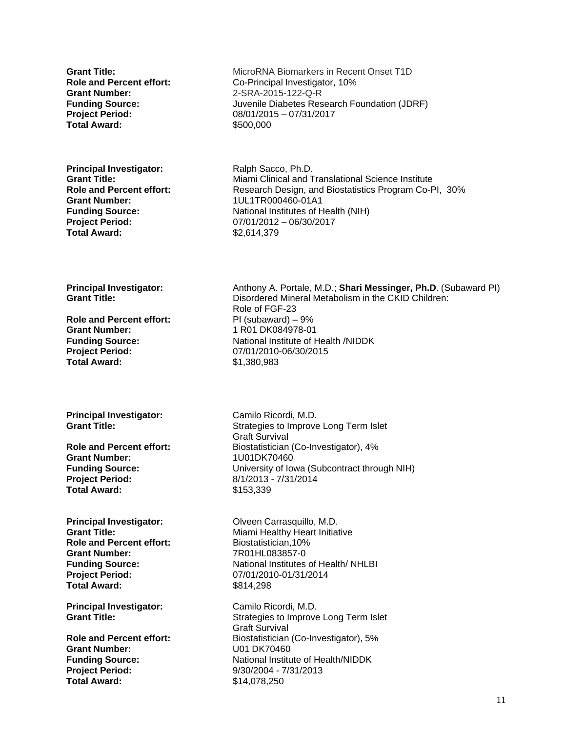**Grant Number:** 2-SRA-2015-122-Q-R **Project Period:** 08/01/2015 – 07/31/2017 **Total Award:** \$500,000

**Principal Investigator:** Ralph Sacco, Ph.D.<br> **Grant Title:** Miami Clinical and T **Grant Number:** 1UL1TR000460-01A1 **Total Award:** \$2,614,379

**Grant Title:** MicroRNA Biomarkers in Recent Onset T1D **Role and Percent effort:** Co-Principal Investigator, 10% **Funding Source:** Juvenile Diabetes Research Foundation (JDRF)

**Grant Title:** Miami Clinical and Translational Science Institute<br>**Role and Percent effort:** Research Design, and Biostatistics Program Co-F **Research Design, and Biostatistics Program Co-PI, 30% Funding Source:** National Institutes of Health (NIH) **Project Period:** 07/01/2012 – 06/30/2017

**Role and Percent effort:** PI (subaward) – 9% **Grant Number:** 1 R01 DK084978-01 **Project Period:** 07/01/2010-06/30/2015 **Total Award:** \$1,380,983

**Principal Investigator:** Camilo Ricordi, M.D.

**Grant Number:** 1U01DK70460 **Project Period:** 8/1/2013 - 7/31/2014 **Total Award:** \$153,339

**Principal Investigator:** Olveen Carrasquillo, M.D. **Role and Percent effort:** Biostatistician,10% **Grant Number:** 7R01HL083857-0 **Project Period:** 07/01/2010-01/31/2014 **Total Award:** \$814,298

**Principal Investigator:** Camilo Ricordi, M.D.

**Grant Number:** U01 DK70460 **Project Period:** 9/30/2004 - 7/31/2013 **Total Award:** \$14,078,250

**Principal Investigator:** Anthony A. Portale, M.D.; **Shari Messinger, Ph.D**. (Subaward PI) **Grant Title: Case Constant Constant Constant Disordered Mineral Metabolism in the CKID Children:** Role of FGF-23 **Funding Source:** National Institute of Health /NIDDK

**Grant Title:** Strategies to Improve Long Term Islet Graft Survival **Role and Percent effort:** Biostatistician (Co-Investigator), 4% **Funding Source:** University of Iowa (Subcontract through NIH)

**Grant Title:** Miami Healthy Heart Initiative **Funding Source:** National Institutes of Health/ NHLBI

**Grant Title:** Strategies to Improve Long Term Islet Graft Survival **Role and Percent effort:** Biostatistician (Co-Investigator), 5% **Funding Source:** National Institute of Health/NIDDK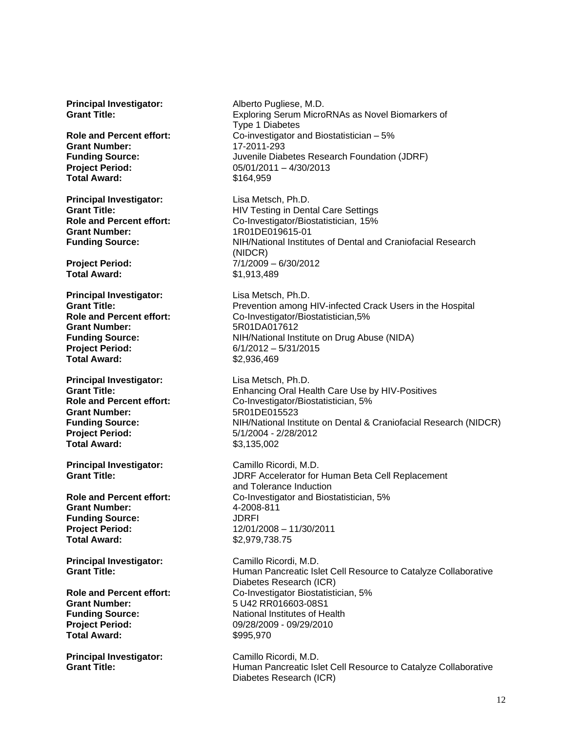**Principal Investigator:** Alberto Pugliese, M.D.

**Grant Number:** 17-2011-293 **Project Period:** 05/01/2011 – 4/30/2013 **Total Award:** \$164,959

**Principal Investigator:** Lisa Metsch, Ph.D. **Grant Number:** 1R01DE019615-01

**Total Award:** \$1,913,489

**Principal Investigator:** Lisa Metsch, Ph.D. **Grant Number:** 5R01DA017612 **Project Period:** 6/1/2012 – 5/31/2015 **Total Award:** \$2,936,469

**Principal Investigator:** Lisa Metsch, Ph.D. **Grant Number:** 5R01DE015523 **Project Period:** 5/1/2004 - 2/28/2012 **Total Award:** \$3,135,002

**Grant Number:** 4-2008-811 **Funding Source:** JDRFI **Total Award:**  $$2,979,738.75$ 

**Grant Number:** 5 U42 RR016603-08S1 **Project Period:** 09/28/2009 - 09/29/2010 **Total Award:** \$995,970

**Principal Investigator:** Camillo Ricordi, M.D.

**Grant Title:** Exploring Serum MicroRNAs as Novel Biomarkers of Type 1 Diabetes **Role and Percent effort:** Co-investigator and Biostatistician – 5% **Funding Source:** Juvenile Diabetes Research Foundation (JDRF)

**Grant Title: Grant Title:** HIV Testing in Dental Care Settings **Role and Percent effort:** Co-Investigator/Biostatistician, 15% **Funding Source:** NIH/National Institutes of Dental and Craniofacial Research (NIDCR) **Project Period:** 7/1/2009 – 6/30/2012

**Grant Title:**<br> **Role and Percent effort:** Prevention among HIV-infected Crack Users in the Hospital<br>
Co-Investigator/Biostatistician.5% **Role and Percent effort:** Co-Investigator/Biostatistician,5% **Funding Source:** NIH/National Institute on Drug Abuse (NIDA)

**Grant Title:** Enhancing Oral Health Care Use by HIV-Positives **Role and Percent effort:** Co-Investigator/Biostatistician, 5% **Funding Source:** NIH/National Institute on Dental & Craniofacial Research (NIDCR)

**Principal Investigator:** Camillo Ricordi, M.D. **Grant Title:** JDRF Accelerator for Human Beta Cell Replacement and Tolerance Induction **Role and Percent effort:** Co-Investigator and Biostatistician, 5% **Project Period:** 12/01/2008 – 11/30/2011

**Principal Investigator:** Camillo Ricordi, M.D. **Grant Title: Human Pancreatic Islet Cell Resource to Catalyze Collaborative** Diabetes Research (ICR) **Role and Percent effort:** Co-Investigator Biostatistician, 5% **Funding Source:** National Institutes of Health

**Grant Title: Human Pancreatic Islet Cell Resource to Catalyze Collaborative** Diabetes Research (ICR)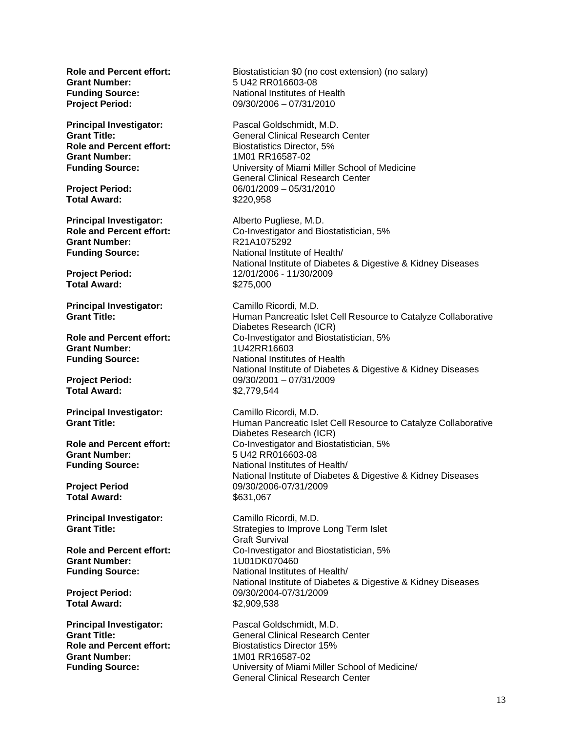**Grant Number:** 5 U42 RR016603-08

**Role** and **Percent effort:** Biostatistics Director, 5% **Grant Number:** 1M01 RR16587-02

**Total Award:** \$220,958

**Principal Investigator:** Alberto Pugliese, M.D.<br> **Role and Percent effort:** Co-Investigator and Bio **Grant Number:** R21A1075292

**Total Award:** \$275,000

**Principal Investigator:** Camillo Ricordi, M.D.<br>**Grant Title:** Camillo Ricordic Isle

**Grant Number:** 1U42RR16603

**Total Award:** \$2,779,544

**Principal Investigator:** Camillo Ricordi, M.D.

**Grant Number:** 5 U42 RR016603-08

**Total Award:** \$631,067

**Principal Investigator:** Camillo Ricordi, M.D.<br> **Grant Title:** Strategies to Improve

**Grant Number:** 1U01DK070460

**Total Award:**  $$2,909,538$ 

**Grant Number:** 1M01 RR16587-02

**Role** and **Percent effort:** Biostatistician \$0 (no cost extension) (no salary) **Funding Source:** National Institutes of Health **Project Period:** 09/30/2006 – 07/31/2010

**Principal Investigator:** Pascal Goldschmidt, M.D. **Grant Title:** General Clinical Research Center **Funding Source:** University of Miami Miller School of Medicine General Clinical Research Center **Project Period:** 06/01/2009 – 05/31/2010

**Role and Percent effort:** Co-Investigator and Biostatistician, 5% **Funding Source:** National Institute of Health/ National Institute of Diabetes & Digestive & Kidney Diseases **Project Period:** 12/01/2006 - 11/30/2009

**Human Pancreatic Islet Cell Resource to Catalyze Collaborative** Diabetes Research (ICR) **Role and Percent effort:** Co-Investigator and Biostatistician, 5% **Funding Source:** National Institutes of Health National Institute of Diabetes & Digestive & Kidney Diseases **Project Period:** 09/30/2001 – 07/31/2009

**Grant Title: Human Pancreatic Islet Cell Resource to Catalyze Collaborative** Diabetes Research (ICR) **Role and Percent effort:** Co-Investigator and Biostatistician, 5% **Funding Source:** National Institutes of Health/ National Institute of Diabetes & Digestive & Kidney Diseases **Project Period** 09/30/2006-07/31/2009

**Strategies to Improve Long Term Islet** Graft Survival **Role and Percent effort:** Co-Investigator and Biostatistician, 5% **Funding Source:** National Institutes of Health/ National Institute of Diabetes & Digestive & Kidney Diseases **Project Period:** 09/30/2004-07/31/2009

**Principal Investigator:** Pascal Goldschmidt, M.D.<br> **Grant Title:** General Clinical Research **Grant Title:** General Clinical Research Center<br> **Role and Percent effort:** Biostatistics Director 15% **Biostatistics Director 15% Funding Source:** University of Miami Miller School of Medicine/ General Clinical Research Center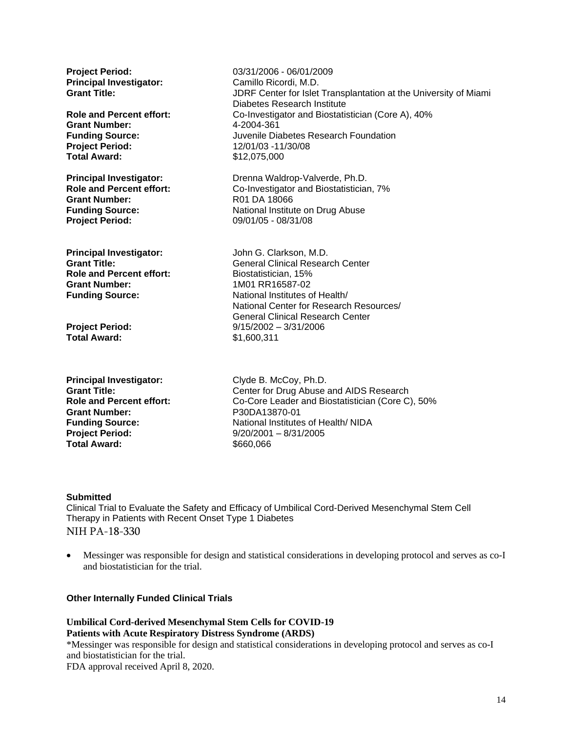| <b>Project Period:</b><br><b>Principal Investigator:</b><br><b>Grant Title:</b><br><b>Role and Percent effort:</b><br><b>Grant Number:</b><br><b>Funding Source:</b><br><b>Project Period:</b><br><b>Total Award:</b> | 03/31/2006 - 06/01/2009<br>Camillo Ricordi, M.D.<br>JDRF Center for Islet Transplantation at the University of Miami<br>Diabetes Research Institute<br>Co-Investigator and Biostatistician (Core A), 40%<br>4-2004-361<br>Juvenile Diabetes Research Foundation<br>12/01/03 -11/30/08<br>\$12,075,000 |
|-----------------------------------------------------------------------------------------------------------------------------------------------------------------------------------------------------------------------|-------------------------------------------------------------------------------------------------------------------------------------------------------------------------------------------------------------------------------------------------------------------------------------------------------|
| <b>Principal Investigator:</b>                                                                                                                                                                                        | Drenna Waldrop-Valverde, Ph.D.                                                                                                                                                                                                                                                                        |
| <b>Role and Percent effort:</b>                                                                                                                                                                                       | Co-Investigator and Biostatistician, 7%                                                                                                                                                                                                                                                               |
| <b>Grant Number:</b>                                                                                                                                                                                                  | R01 DA 18066                                                                                                                                                                                                                                                                                          |
| <b>Funding Source:</b>                                                                                                                                                                                                | National Institute on Drug Abuse                                                                                                                                                                                                                                                                      |
| <b>Project Period:</b>                                                                                                                                                                                                | 09/01/05 - 08/31/08                                                                                                                                                                                                                                                                                   |
| <b>Principal Investigator:</b><br><b>Grant Title:</b><br><b>Role and Percent effort:</b><br><b>Grant Number:</b><br><b>Funding Source:</b>                                                                            | John G. Clarkson, M.D.<br><b>General Clinical Research Center</b><br>Biostatistician, 15%<br>1M01 RR16587-02<br>National Institutes of Health/<br>National Center for Research Resources/<br><b>General Clinical Research Center</b>                                                                  |
| <b>Project Period:</b>                                                                                                                                                                                                | $9/15/2002 - 3/31/2006$                                                                                                                                                                                                                                                                               |
| <b>Total Award:</b>                                                                                                                                                                                                   | \$1,600,311                                                                                                                                                                                                                                                                                           |
| <b>Principal Investigator:</b>                                                                                                                                                                                        | Clyde B. McCoy, Ph.D.                                                                                                                                                                                                                                                                                 |
| <b>Grant Title:</b>                                                                                                                                                                                                   | Center for Drug Abuse and AIDS Research                                                                                                                                                                                                                                                               |
| <b>Role and Percent effort:</b>                                                                                                                                                                                       | Co-Core Leader and Biostatistician (Core C), 50%                                                                                                                                                                                                                                                      |
| <b>Grant Number:</b>                                                                                                                                                                                                  | P30DA13870-01                                                                                                                                                                                                                                                                                         |
| <b>Funding Source:</b>                                                                                                                                                                                                | National Institutes of Health/NIDA                                                                                                                                                                                                                                                                    |
| <b>Project Period:</b>                                                                                                                                                                                                | $9/20/2001 - 8/31/2005$                                                                                                                                                                                                                                                                               |
| <b>Total Award:</b>                                                                                                                                                                                                   | \$660,066                                                                                                                                                                                                                                                                                             |

#### **Submitted**

Clinical Trial to Evaluate the Safety and Efficacy of Umbilical Cord-Derived Mesenchymal Stem Cell Therapy in Patients with Recent Onset Type 1 Diabetes NIH PA-18-330

• Messinger was responsible for design and statistical considerations in developing protocol and serves as co-I and biostatistician for the trial.

**Other Internally Funded Clinical Trials**

**Umbilical Cord-derived Mesenchymal Stem Cells for COVID-19 Patients with Acute Respiratory Distress Syndrome (ARDS)**

\*Messinger was responsible for design and statistical considerations in developing protocol and serves as co-I and biostatistician for the trial. FDA approval received April 8, 2020.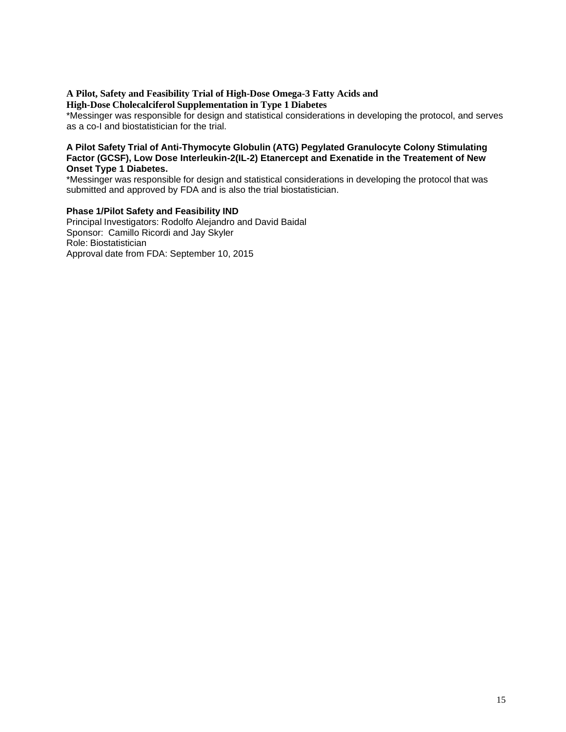### **A Pilot, Safety and Feasibility Trial of High-Dose Omega-3 Fatty Acids and**

#### **High-Dose Cholecalciferol Supplementation in Type 1 Diabetes**

\*Messinger was responsible for design and statistical considerations in developing the protocol, and serves as a co-I and biostatistician for the trial.

#### **A Pilot Safety Trial of Anti-Thymocyte Globulin (ATG) Pegylated Granulocyte Colony Stimulating Factor (GCSF), Low Dose Interleukin-2(IL-2) Etanercept and Exenatide in the Treatement of New Onset Type 1 Diabetes.**

\*Messinger was responsible for design and statistical considerations in developing the protocol that was submitted and approved by FDA and is also the trial biostatistician.

#### **Phase 1/Pilot Safety and Feasibility IND**

Principal Investigators: Rodolfo Alejandro and David Baidal Sponsor: Camillo Ricordi and Jay Skyler Role: Biostatistician Approval date from FDA: September 10, 2015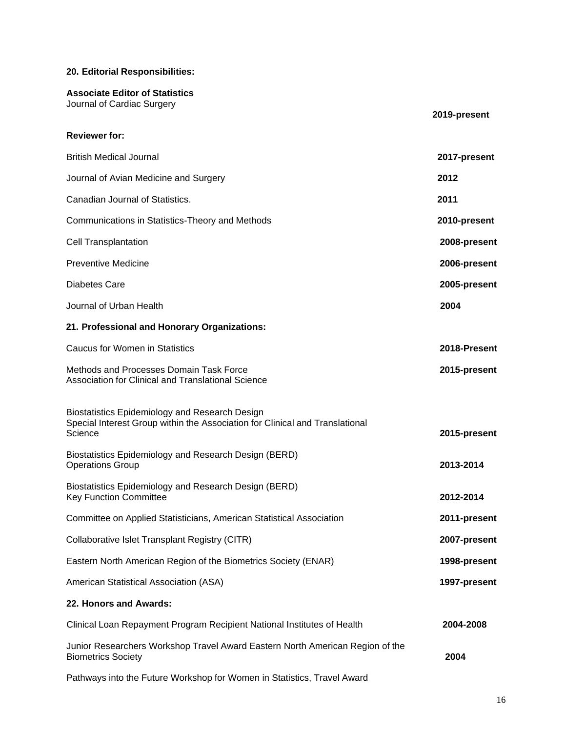#### **20. Editorial Responsibilities:**

# **Associate Editor of Statistics** Journal of Cardiac Surgery **2019-present Reviewer for:** British Medical Journal **2017-present** Journal of Avian Medicine and Surgery **2012** Canadian Journal of Statistics. **2011** Communications in Statistics-Theory and Methods **2010-present** Cell Transplantation **2008-present** Preventive Medicine **2006-present** Diabetes Care **2005-present** Journal of Urban Health **2004 21. Professional and Honorary Organizations:** Caucus for Women in Statistics **2018-Present** Methods and Processes Domain Task Force **2015-present** Association for Clinical and Translational Science Biostatistics Epidemiology and Research Design Special Interest Group within the Association for Clinical and Translational 2015-present Biostatistics Epidemiology and Research Design (BERD) **Operations Group 2013-2014 2013-2014** Biostatistics Epidemiology and Research Design (BERD) Key Function Committee **2012-2014** Committee on Applied Statisticians, American Statistical Association **2011-present** Collaborative Islet Transplant Registry (CITR) **2007-present** Eastern North American Region of the Biometrics Society (ENAR) **1998-present** American Statistical Association (ASA) **1997-present 22. Honors and Awards:** Clinical Loan Repayment Program Recipient National Institutes of Health **2004-2008** Junior Researchers Workshop Travel Award Eastern North American Region of the Biometrics Society **2004**

Pathways into the Future Workshop for Women in Statistics, Travel Award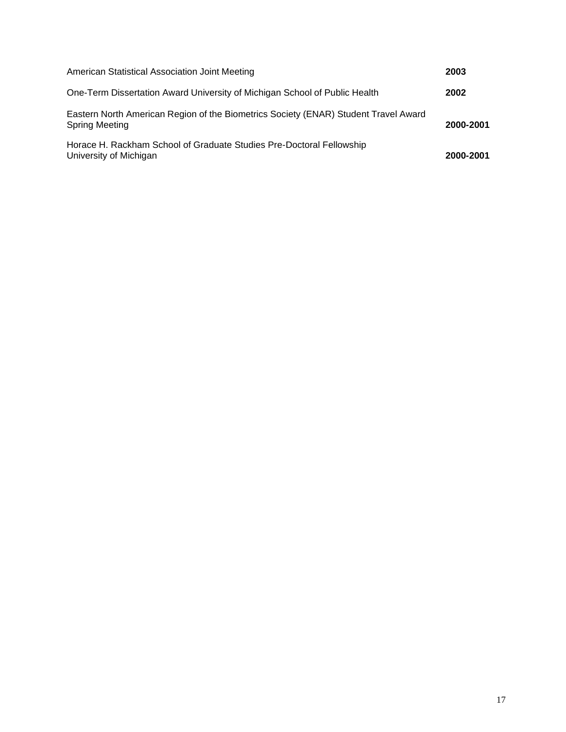| American Statistical Association Joint Meeting                                                               | 2003      |
|--------------------------------------------------------------------------------------------------------------|-----------|
| One-Term Dissertation Award University of Michigan School of Public Health                                   | 2002      |
| Eastern North American Region of the Biometrics Society (ENAR) Student Travel Award<br><b>Spring Meeting</b> | 2000-2001 |
| Horace H. Rackham School of Graduate Studies Pre-Doctoral Fellowship<br>University of Michigan               | 2000-2001 |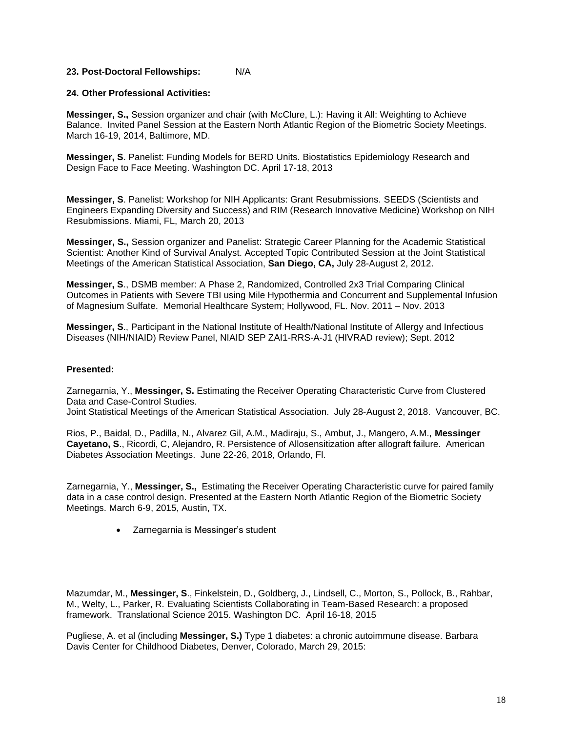#### **23. Post-Doctoral Fellowships:** N/A

#### **24. Other Professional Activities:**

**Messinger, S.,** Session organizer and chair (with McClure, L.): Having it All: Weighting to Achieve Balance. Invited Panel Session at the Eastern North Atlantic Region of the Biometric Society Meetings. March 16-19, 2014, Baltimore, MD.

**Messinger, S**. Panelist: Funding Models for BERD Units. Biostatistics Epidemiology Research and Design Face to Face Meeting. Washington DC. April 17-18, 2013

**Messinger, S**. Panelist: Workshop for NIH Applicants: Grant Resubmissions. SEEDS (Scientists and Engineers Expanding Diversity and Success) and RIM (Research Innovative Medicine) Workshop on NIH Resubmissions. Miami, FL, March 20, 2013

**Messinger, S.,** Session organizer and Panelist: Strategic Career Planning for the Academic Statistical Scientist: Another Kind of Survival Analyst. Accepted Topic Contributed Session at the Joint Statistical Meetings of the American Statistical Association, **San Diego, CA,** July 28-August 2, 2012.

**Messinger, S**., DSMB member: A Phase 2, Randomized, Controlled 2x3 Trial Comparing Clinical Outcomes in Patients with Severe TBI using Mile Hypothermia and Concurrent and Supplemental Infusion of Magnesium Sulfate. Memorial Healthcare System; Hollywood, FL. Nov. 2011 – Nov. 2013

**Messinger, S**., Participant in the National Institute of Health/National Institute of Allergy and Infectious Diseases (NIH/NIAID) Review Panel, NIAID SEP ZAI1-RRS-A-J1 (HIVRAD review); Sept. 2012

#### **Presented:**

Zarnegarnia, Y., **Messinger, S.** Estimating the Receiver Operating Characteristic Curve from Clustered Data and Case-Control Studies. Joint Statistical Meetings of the American Statistical Association. July 28-August 2, 2018. Vancouver, BC.

Rios, P., Baidal, D., Padilla, N., Alvarez Gil, A.M., Madiraju, S., Ambut, J., Mangero, A.M., **Messinger Cayetano, S**., Ricordi, C, Alejandro, R. Persistence of Allosensitization after allograft failure. American Diabetes Association Meetings. June 22-26, 2018, Orlando, Fl.

Zarnegarnia, Y., **Messinger, S.,** Estimating the Receiver Operating Characteristic curve for paired family data in a case control design. Presented at the Eastern North Atlantic Region of the Biometric Society Meetings. March 6-9, 2015, Austin, TX.

• Zarnegarnia is Messinger's student

Mazumdar, M., **Messinger, S**., Finkelstein, D., Goldberg, J., Lindsell, C., Morton, S., Pollock, B., Rahbar, M., Welty, L., Parker, R. Evaluating Scientists Collaborating in Team-Based Research: a proposed framework. Translational Science 2015. Washington DC. April 16-18, 2015

Pugliese, A. et al (including **Messinger, S.)** Type 1 diabetes: a chronic autoimmune disease. Barbara Davis Center for Childhood Diabetes, Denver, Colorado, March 29, 2015: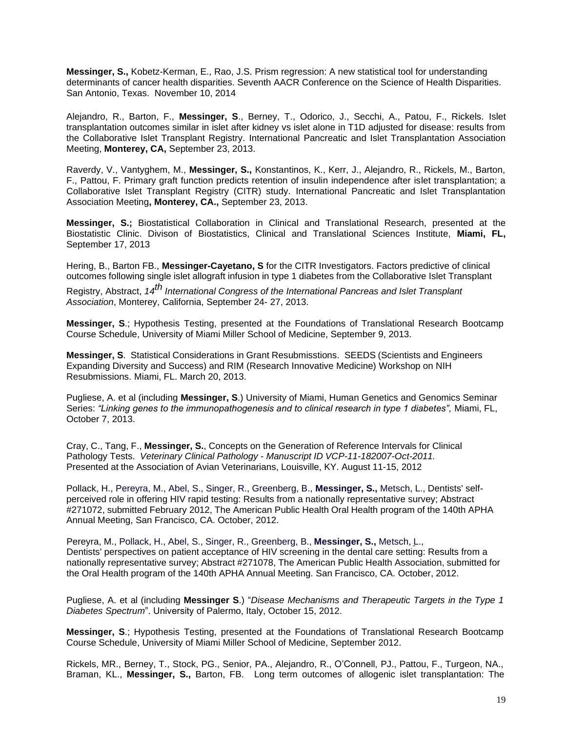**Messinger, S.,** Kobetz-Kerman, E., Rao, J.S. Prism regression: A new statistical tool for understanding determinants of cancer health disparities. Seventh AACR Conference on the Science of Health Disparities. San Antonio, Texas. November 10, 2014

Alejandro, R., Barton, F., **Messinger, S**., Berney, T., Odorico, J., Secchi, A., Patou, F., Rickels. Islet transplantation outcomes similar in islet after kidney vs islet alone in T1D adjusted for disease: results from the Collaborative Islet Transplant Registry. International Pancreatic and Islet Transplantation Association Meeting, **Monterey, CA,** September 23, 2013.

Raverdy, V., Vantyghem, M., **Messinger, S.,** Konstantinos, K., Kerr, J., Alejandro, R., Rickels, M., Barton, F., Pattou, F. Primary graft function predicts retention of insulin independence after islet transplantation; a Collaborative Islet Transplant Registry (CITR) study. International Pancreatic and Islet Transplantation Association Meeting**, Monterey, CA.,** September 23, 2013.

**Messinger, S.;** Biostatistical Collaboration in Clinical and Translational Research, presented at the Biostatistic Clinic. Divison of Biostatistics, Clinical and Translational Sciences Institute, **Miami, FL,** September 17, 2013

Hering, B., Barton FB., **Messinger-Cayetano, S** for the CITR Investigators. Factors predictive of clinical outcomes following single islet allograft infusion in type 1 diabetes from the Collaborative Islet Transplant

Registry, Abstract, *14th International Congress of the International Pancreas and Islet Transplant Association*, Monterey, California, September 24- 27, 2013.

**Messinger, S**.; Hypothesis Testing, presented at the Foundations of Translational Research Bootcamp Course Schedule, University of Miami Miller School of Medicine, September 9, 2013.

**Messinger, S**. Statistical Considerations in Grant Resubmisstions. SEEDS (Scientists and Engineers Expanding Diversity and Success) and RIM (Research Innovative Medicine) Workshop on NIH Resubmissions. Miami, FL. March 20, 2013.

Pugliese, A. et al (including **Messinger, S**.) University of Miami, Human Genetics and Genomics Seminar Series: *"Linking genes to the immunopathogenesis and to clinical research in type 1 diabetes",* Miami, FL, October 7, 2013.

Cray, C., Tang, F., **Messinger, S.**, Concepts on the Generation of Reference Intervals for Clinical Pathology Tests. *Veterinary Clinical Pathology - Manuscript ID VCP-11-182007-Oct-2011.* Presented at the Association of Avian Veterinarians, Louisville, KY. August 11-15, 2012

Pollack, H., Pereyra, M., Abel, S., Singer, R., Greenberg, B., **Messinger, S.,** Metsch, L., Dentists' selfperceived role in offering HIV rapid testing: Results from a nationally representative survey; Abstract #271072, submitted February 2012, The American Public Health Oral Health program of the 140th APHA Annual Meeting, San Francisco, CA. October, 2012.

Pereyra, M., Pollack, H., Abel, S., Singer, R., Greenberg, B., **Messinger, S.,** Metsch, L., Dentists' perspectives on patient acceptance of HIV screening in the dental care setting: Results from a nationally representative survey; Abstract #271078, The American Public Health Association, submitted for the Oral Health program of the 140th APHA Annual Meeting. San Francisco, CA. October, 2012.

Pugliese, A. et al (including **Messinger S**.) "*Disease Mechanisms and Therapeutic Targets in the Type 1 Diabetes Spectrum*". University of Palermo, Italy, October 15, 2012.

**Messinger, S**.; Hypothesis Testing, presented at the Foundations of Translational Research Bootcamp Course Schedule, University of Miami Miller School of Medicine, September 2012.

Rickels, MR., Berney, T., Stock, PG., Senior, PA., Alejandro, R., O'Connell, PJ., Pattou, F., Turgeon, NA., Braman, KL., **Messinger, S.,** Barton, FB. Long term outcomes of allogenic islet transplantation: The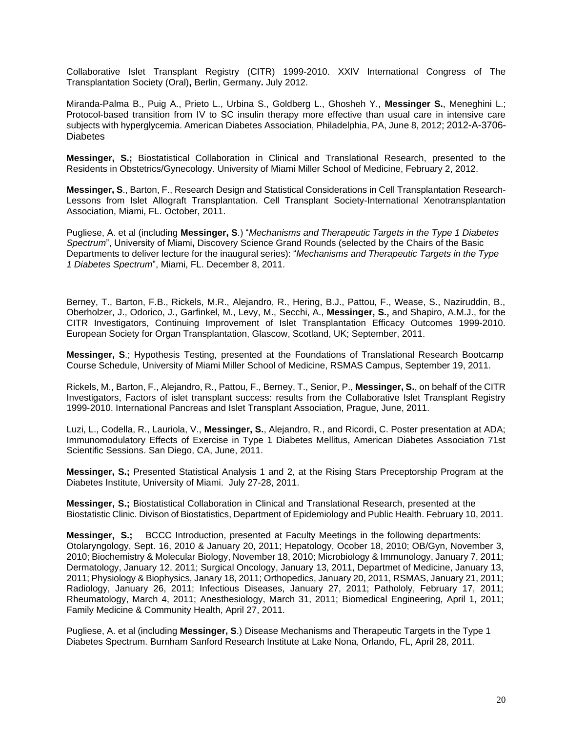Collaborative Islet Transplant Registry (CITR) 1999-2010. XXIV International Congress of The Transplantation Society (Oral)**,** Berlin, Germany**.** July 2012.

Miranda-Palma B., Puig A., Prieto L., Urbina S., Goldberg L., Ghosheh Y., **Messinger S.**, Meneghini L.; Protocol-based transition from IV to SC insulin therapy more effective than usual care in intensive care subjects with hyperglycemia. American Diabetes Association, Philadelphia, PA, June 8, 2012; 2012-A-3706- Diabetes

**Messinger, S.;** Biostatistical Collaboration in Clinical and Translational Research, presented to the Residents in Obstetrics/Gynecology. University of Miami Miller School of Medicine, February 2, 2012.

**Messinger, S**., Barton, F., Research Design and Statistical Considerations in Cell Transplantation Research-Lessons from Islet Allograft Transplantation. Cell Transplant Society-International Xenotransplantation Association, Miami, FL. October, 2011.

Pugliese, A. et al (including **Messinger, S**.) "*Mechanisms and Therapeutic Targets in the Type 1 Diabetes Spectrum*", University of Miami**,** Discovery Science Grand Rounds (selected by the Chairs of the Basic Departments to deliver lecture for the inaugural series): "*Mechanisms and Therapeutic Targets in the Type 1 Diabetes Spectrum*", Miami, FL. December 8, 2011.

Berney, T., Barton, F.B., Rickels, M.R., Alejandro, R., Hering, B.J., Pattou, F., Wease, S., Naziruddin, B., Oberholzer, J., Odorico, J., Garfinkel, M., Levy, M., Secchi, A., **Messinger, S.,** and Shapiro, A.M.J., for the CITR Investigators, Continuing Improvement of Islet Transplantation Efficacy Outcomes 1999-2010. European Society for Organ Transplantation, Glascow, Scotland, UK; September, 2011.

**Messinger, S**.; Hypothesis Testing, presented at the Foundations of Translational Research Bootcamp Course Schedule, University of Miami Miller School of Medicine, RSMAS Campus, September 19, 2011.

Rickels, M., Barton, F., Alejandro, R., Pattou, F., Berney, T., Senior, P., **Messinger, S.**, on behalf of the CITR Investigators, Factors of islet transplant success: results from the Collaborative Islet Transplant Registry 1999-2010. International Pancreas and Islet Transplant Association, Prague, June, 2011.

Luzi, L., Codella, R., Lauriola, V., **Messinger, S.**, Alejandro, R., and Ricordi, C. Poster presentation at ADA; Immunomodulatory Effects of Exercise in Type 1 Diabetes Mellitus, American Diabetes Association 71st Scientific Sessions. San Diego, CA, June, 2011.

**Messinger, S.;** Presented Statistical Analysis 1 and 2, at the Rising Stars Preceptorship Program at the Diabetes Institute, University of Miami. July 27-28, 2011.

**Messinger, S.;** Biostatistical Collaboration in Clinical and Translational Research, presented at the Biostatistic Clinic. Divison of Biostatistics, Department of Epidemiology and Public Health. February 10, 2011.

**Messinger, S.;** BCCC Introduction, presented at Faculty Meetings in the following departments: Otolaryngology, Sept. 16, 2010 & January 20, 2011; Hepatology, Ocober 18, 2010; OB/Gyn, November 3, 2010; Biochemistry & Molecular Biology, November 18, 2010; Microbiology & Immunology, January 7, 2011; Dermatology, January 12, 2011; Surgical Oncology, January 13, 2011, Departmet of Medicine, January 13, 2011; Physiology & Biophysics, Janary 18, 2011; Orthopedics, January 20, 2011, RSMAS, January 21, 2011; Radiology, January 26, 2011; Infectious Diseases, January 27, 2011; Pathololy, February 17, 2011; Rheumatology, March 4, 2011; Anesthesiology, March 31, 2011; Biomedical Engineering, April 1, 2011; Family Medicine & Community Health, April 27, 2011.

Pugliese, A. et al (including **Messinger, S**.) Disease Mechanisms and Therapeutic Targets in the Type 1 Diabetes Spectrum. Burnham Sanford Research Institute at Lake Nona, Orlando, FL, April 28, 2011.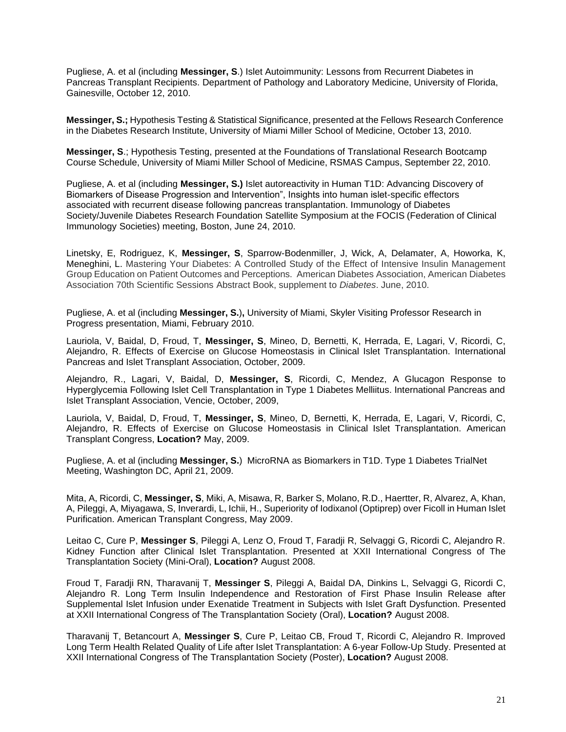Pugliese, A. et al (including **Messinger, S**.) Islet Autoimmunity: Lessons from Recurrent Diabetes in Pancreas Transplant Recipients. Department of Pathology and Laboratory Medicine, University of Florida, Gainesville, October 12, 2010.

**Messinger, S.;** Hypothesis Testing & Statistical Significance, presented at the Fellows Research Conference in the Diabetes Research Institute, University of Miami Miller School of Medicine, October 13, 2010.

**Messinger, S**.; Hypothesis Testing, presented at the Foundations of Translational Research Bootcamp Course Schedule, University of Miami Miller School of Medicine, RSMAS Campus, September 22, 2010.

Pugliese, A. et al (including **Messinger, S.)** Islet autoreactivity in Human T1D: Advancing Discovery of Biomarkers of Disease Progression and Intervention", Insights into human islet-specific effectors associated with recurrent disease following pancreas transplantation. Immunology of Diabetes Society/Juvenile Diabetes Research Foundation Satellite Symposium at the FOCIS (Federation of Clinical Immunology Societies) meeting, Boston, June 24, 2010.

Linetsky, E, Rodriguez, K, **Messinger, S**, Sparrow-Bodenmiller, J, Wick, A, Delamater, A, Howorka, K, Meneghini, L. Mastering Your Diabetes: A Controlled Study of the Effect of Intensive Insulin Management Group Education on Patient Outcomes and Perceptions. American Diabetes Association, American Diabetes Association 70th Scientific Sessions Abstract Book, supplement to *Diabetes*. June, 2010.

Pugliese, A. et al (including **Messinger, S.**)**,** University of Miami, Skyler Visiting Professor Research in Progress presentation, Miami, February 2010.

Lauriola, V, Baidal, D, Froud, T, **Messinger, S**, Mineo, D, Bernetti, K, Herrada, E, Lagari, V, Ricordi, C, Alejandro, R. Effects of Exercise on Glucose Homeostasis in Clinical Islet Transplantation. International Pancreas and Islet Transplant Association, October, 2009.

Alejandro, R., Lagari, V, Baidal, D, **Messinger, S**, Ricordi, C, Mendez, A Glucagon Response to Hyperglycemia Following Islet Cell Transplantation in Type 1 Diabetes Melliitus. International Pancreas and Islet Transplant Association, Vencie, October, 2009,

Lauriola, V, Baidal, D, Froud, T, **Messinger, S**, Mineo, D, Bernetti, K, Herrada, E, Lagari, V, Ricordi, C, Alejandro, R. Effects of Exercise on Glucose Homeostasis in Clinical Islet Transplantation. American Transplant Congress, **Location?** May, 2009.

Pugliese, A. et al (including **Messinger, S.**) MicroRNA as Biomarkers in T1D. Type 1 Diabetes TrialNet Meeting, Washington DC, April 21, 2009.

Mita, A, Ricordi, C, **Messinger, S**, Miki, A, Misawa, R, Barker S, Molano, R.D., Haertter, R, Alvarez, A, Khan, A, Pileggi, A, Miyagawa, S, Inverardi, L, Ichii, H., Superiority of Iodixanol (Optiprep) over Ficoll in Human Islet Purification. American Transplant Congress, May 2009.

Leitao C, Cure P, **Messinger S**, Pileggi A, Lenz O, Froud T, Faradji R, Selvaggi G, Ricordi C, Alejandro R. Kidney Function after Clinical Islet Transplantation. Presented at XXII International Congress of The Transplantation Society (Mini-Oral), **Location?** August 2008.

Froud T, Faradji RN, Tharavanij T, **Messinger S**, Pileggi A, Baidal DA, Dinkins L, Selvaggi G, Ricordi C, Alejandro R. Long Term Insulin Independence and Restoration of First Phase Insulin Release after Supplemental Islet Infusion under Exenatide Treatment in Subjects with Islet Graft Dysfunction. Presented at XXII International Congress of The Transplantation Society (Oral), **Location?** August 2008.

Tharavanij T, Betancourt A, **Messinger S**, Cure P, Leitao CB, Froud T, Ricordi C, Alejandro R. Improved Long Term Health Related Quality of Life after Islet Transplantation: A 6-year Follow-Up Study. Presented at XXII International Congress of The Transplantation Society (Poster), **Location?** August 2008.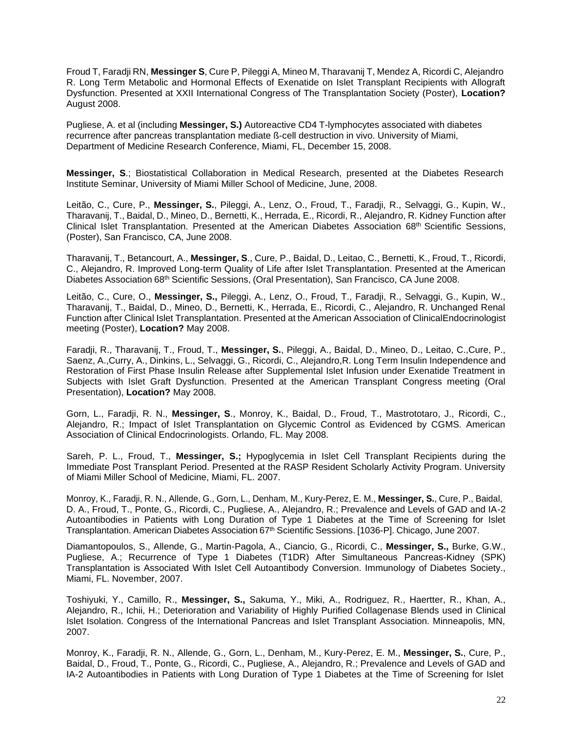Froud T, Faradji RN, **Messinger S**, Cure P, Pileggi A, Mineo M, Tharavanij T, Mendez A, Ricordi C, Alejandro R. Long Term Metabolic and Hormonal Effects of Exenatide on Islet Transplant Recipients with Allograft Dysfunction. Presented at XXII International Congress of The Transplantation Society (Poster), **Location?** August 2008.

Pugliese, A. et al (including **Messinger, S.)** Autoreactive CD4 T-lymphocytes associated with diabetes recurrence after pancreas transplantation mediate ß-cell destruction in vivo. University of Miami, Department of Medicine Research Conference, Miami, FL, December 15, 2008.

**Messinger, S**.; Biostatistical Collaboration in Medical Research, presented at the Diabetes Research Institute Seminar, University of Miami Miller School of Medicine, June, 2008.

Leitão, C., Cure, P., **Messinger, S.**, Pileggi, A., Lenz, O., Froud, T., Faradji, R., Selvaggi, G., Kupin, W., Tharavanij, T., Baidal, D., Mineo, D., Bernetti, K., Herrada, E., Ricordi, R., Alejandro, R. Kidney Function after Clinical Islet Transplantation. Presented at the American Diabetes Association 68th Scientific Sessions, (Poster), San Francisco, CA, June 2008.

Tharavanij, T., Betancourt, A., **Messinger, S**., Cure, P., Baidal, D., Leitao, C., Bernetti, K., Froud, T., Ricordi, C., Alejandro, R. Improved Long-term Quality of Life after Islet Transplantation. Presented at the American Diabetes Association 68th Scientific Sessions, (Oral Presentation), San Francisco, CA June 2008.

Leitão, C., Cure, O., **Messinger, S.,** Pileggi, A., Lenz, O., Froud, T., Faradji, R., Selvaggi, G., Kupin, W., Tharavanij, T., Baidal, D., Mineo, D., Bernetti, K., Herrada, E., Ricordi, C., Alejandro, R. Unchanged Renal Function after Clinical Islet Transplantation. Presented at the American Association of ClinicalEndocrinologist meeting (Poster), **Location?** May 2008.

Faradji, R., Tharavanij, T., Froud, T., **Messinger, S.**, Pileggi, A., Baidal, D., Mineo, D., Leitao, C.,Cure, P., Saenz, A.,Curry, A., Dinkins, L., Selvaggi, G., Ricordi, C., Alejandro,R. Long Term Insulin Independence and Restoration of First Phase Insulin Release after Supplemental Islet Infusion under Exenatide Treatment in Subjects with Islet Graft Dysfunction. Presented at the American Transplant Congress meeting (Oral Presentation), **Location?** May 2008.

Gorn, L., Faradji, R. N., **Messinger, S**., Monroy, K., Baidal, D., Froud, T., Mastrototaro, J., Ricordi, C., Alejandro, R.; Impact of Islet Transplantation on Glycemic Control as Evidenced by CGMS. American Association of Clinical Endocrinologists. Orlando, FL. May 2008.

Sareh, P. L., Froud, T., **Messinger, S.;** Hypoglycemia in Islet Cell Transplant Recipients during the Immediate Post Transplant Period. Presented at the RASP Resident Scholarly Activity Program. University of Miami Miller School of Medicine, Miami, FL. 2007.

Monroy, K., Faradji, R. N., Allende, G., Gorn, L., Denham, M., Kury-Perez, E. M., **Messinger, S.**, Cure, P., Baidal, D. A., Froud, T., Ponte, G., Ricordi, C., Pugliese, A., Alejandro, R.; Prevalence and Levels of GAD and IA-2 Autoantibodies in Patients with Long Duration of Type 1 Diabetes at the Time of Screening for Islet Transplantation. American Diabetes Association 67<sup>th</sup> Scientific Sessions. [1036-P]. Chicago, June 2007.

Diamantopoulos, S., Allende, G., Martin-Pagola, A., Ciancio, G., Ricordi, C., **Messinger, S.,** Burke, G.W., Pugliese, A.; Recurrence of Type 1 Diabetes (T1DR) After Simultaneous Pancreas-Kidney (SPK) Transplantation is Associated With Islet Cell Autoantibody Conversion. Immunology of Diabetes Society., Miami, FL. November, 2007.

Toshiyuki, Y., Camillo, R., **Messinger, S.,** Sakuma, Y., Miki, A., Rodriguez, R., Haertter, R., Khan, A., Alejandro, R., Ichii, H.; Deterioration and Variability of Highly Purified Collagenase Blends used in Clinical Islet Isolation. Congress of the International Pancreas and Islet Transplant Association. Minneapolis, MN, 2007.

Monroy, K., Faradji, R. N., Allende, G., Gorn, L., Denham, M., Kury-Perez, E. M., **Messinger, S.**, Cure, P., Baidal, D., Froud, T., Ponte, G., Ricordi, C., Pugliese, A., Alejandro, R.; Prevalence and Levels of GAD and IA-2 Autoantibodies in Patients with Long Duration of Type 1 Diabetes at the Time of Screening for Islet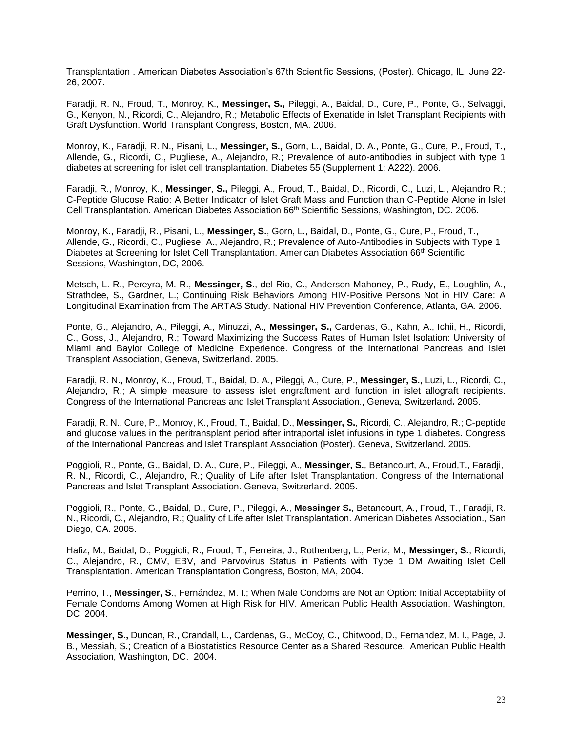Transplantation . American Diabetes Association's 67th Scientific Sessions, (Poster). Chicago, IL. June 22- 26, 2007.

Faradji, R. N., Froud, T., Monroy, K., **Messinger, S.,** Pileggi, A., Baidal, D., Cure, P., Ponte, G., Selvaggi, G., Kenyon, N., Ricordi, C., Alejandro, R.; Metabolic Effects of Exenatide in Islet Transplant Recipients with Graft Dysfunction. World Transplant Congress, Boston, MA. 2006.

Monroy, K., Faradji, R. N., Pisani, L., **Messinger, S.,** Gorn, L., Baidal, D. A., Ponte, G., Cure, P., Froud, T., Allende, G., Ricordi, C., Pugliese, A., Alejandro, R.; Prevalence of auto-antibodies in subject with type 1 diabetes at screening for islet cell transplantation. Diabetes 55 (Supplement 1: A222). 2006.

Faradji, R., Monroy, K., **Messinger**, **S.,** Pileggi, A., Froud, T., Baidal, D., Ricordi, C., Luzi, L., Alejandro R.; C-Peptide Glucose Ratio: A Better Indicator of Islet Graft Mass and Function than C-Peptide Alone in Islet Cell Transplantation. American Diabetes Association 66th Scientific Sessions, Washington, DC. 2006.

Monroy, K., Faradji, R., Pisani, L., **Messinger, S.**, Gorn, L., Baidal, D., Ponte, G., Cure, P., Froud, T., Allende, G., Ricordi, C., Pugliese, A., Alejandro, R.; Prevalence of Auto-Antibodies in Subjects with Type 1 Diabetes at Screening for Islet Cell Transplantation. American Diabetes Association 66<sup>th</sup> Scientific Sessions, Washington, DC, 2006.

Metsch, L. R., Pereyra, M. R., **Messinger, S.**, del Rio, C., Anderson-Mahoney, P., Rudy, E., Loughlin, A., Strathdee, S., Gardner, L.; Continuing Risk Behaviors Among HIV-Positive Persons Not in HIV Care: A Longitudinal Examination from The ARTAS Study. National HIV Prevention Conference, Atlanta, GA. 2006.

Ponte, G., Alejandro, A., Pileggi, A., Minuzzi, A., **Messinger, S.,** Cardenas, G., Kahn, A., Ichii, H., Ricordi, C., Goss, J., Alejandro, R.; Toward Maximizing the Success Rates of Human Islet Isolation: University of Miami and Baylor College of Medicine Experience. Congress of the International Pancreas and Islet Transplant Association, Geneva, Switzerland. 2005.

Faradji, R. N., Monroy, K.., Froud, T., Baidal, D. A., Pileggi, A., Cure, P., **Messinger, S.**, Luzi, L., Ricordi, C., Alejandro, R.; A simple measure to assess islet engraftment and function in islet allograft recipients. Congress of the International Pancreas and Islet Transplant Association., Geneva, Switzerland**.** 2005.

Faradji, R. N., Cure, P., Monroy, K., Froud, T., Baidal, D., **Messinger, S.**, Ricordi, C., Alejandro, R.; C-peptide and glucose values in the peritransplant period after intraportal islet infusions in type 1 diabetes. Congress of the International Pancreas and Islet Transplant Association (Poster). Geneva, Switzerland. 2005.

Poggioli, R., Ponte, G., Baidal, D. A., Cure, P., Pileggi, A., **Messinger, S.**, Betancourt, A., Froud,T., Faradji, R. N., Ricordi, C., Alejandro, R.; Quality of Life after Islet Transplantation. Congress of the International Pancreas and Islet Transplant Association. Geneva, Switzerland. 2005.

Poggioli, R., Ponte, G., Baidal, D., Cure, P., Pileggi, A., **Messinger S.**, Betancourt, A., Froud, T., Faradji, R. N., Ricordi, C., Alejandro, R.; Quality of Life after Islet Transplantation. American Diabetes Association., San Diego, CA. 2005.

Hafiz, M., Baidal, D., Poggioli, R., Froud, T., Ferreira, J., Rothenberg, L., Periz, M., **Messinger, S.**, Ricordi, C., Alejandro, R., CMV, EBV, and Parvovirus Status in Patients with Type 1 DM Awaiting Islet Cell Transplantation. American Transplantation Congress, Boston, MA, 2004.

Perrino, T., **Messinger, S**., Fernández, M. I.; When Male Condoms are Not an Option: Initial Acceptability of Female Condoms Among Women at High Risk for HIV. American Public Health Association. Washington, DC. 2004.

**Messinger, S.,** Duncan, R., Crandall, L., Cardenas, G., McCoy, C., Chitwood, D., Fernandez, M. I., Page, J. B., Messiah, S.; Creation of a Biostatistics Resource Center as a Shared Resource. American Public Health Association, Washington, DC. 2004.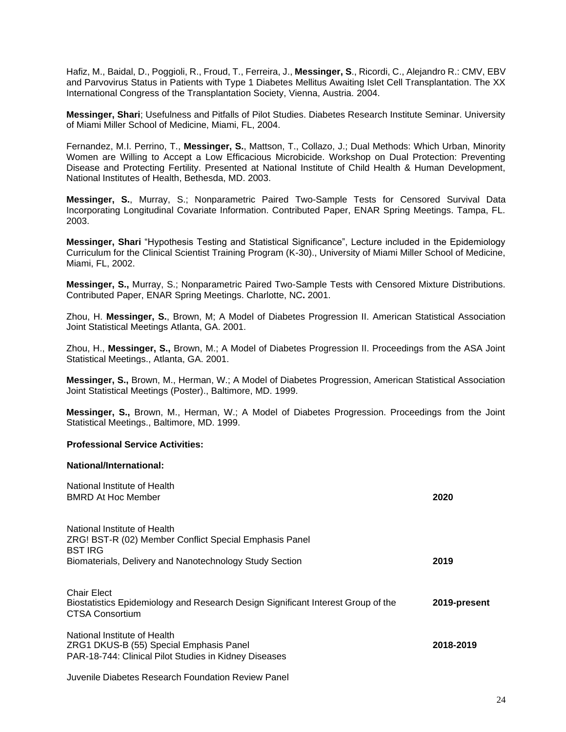Hafiz, M., Baidal, D., Poggioli, R., Froud, T., Ferreira, J., **Messinger, S**., Ricordi, C., Alejandro R.: CMV, EBV and Parvovirus Status in Patients with Type 1 Diabetes Mellitus Awaiting Islet Cell Transplantation. The XX International Congress of the Transplantation Society, Vienna, Austria. 2004.

**Messinger, Shari**; Usefulness and Pitfalls of Pilot Studies. Diabetes Research Institute Seminar. University of Miami Miller School of Medicine, Miami, FL, 2004.

Fernandez, M.I. Perrino, T., **Messinger, S.**, Mattson, T., Collazo, J.; Dual Methods: Which Urban, Minority Women are Willing to Accept a Low Efficacious Microbicide. Workshop on Dual Protection: Preventing Disease and Protecting Fertility. Presented at National Institute of Child Health & Human Development, National Institutes of Health, Bethesda, MD. 2003.

**Messinger, S.**, Murray, S.; Nonparametric Paired Two-Sample Tests for Censored Survival Data Incorporating Longitudinal Covariate Information. Contributed Paper, ENAR Spring Meetings. Tampa, FL. 2003.

**Messinger, Shari** "Hypothesis Testing and Statistical Significance", Lecture included in the Epidemiology Curriculum for the Clinical Scientist Training Program (K-30)., University of Miami Miller School of Medicine, Miami, FL, 2002.

**Messinger, S.,** Murray, S.; Nonparametric Paired Two-Sample Tests with Censored Mixture Distributions. Contributed Paper, ENAR Spring Meetings. Charlotte, NC**.** 2001.

Zhou, H. **Messinger, S.**, Brown, M; A Model of Diabetes Progression II. American Statistical Association Joint Statistical Meetings Atlanta, GA. 2001.

Zhou, H., **Messinger, S.,** Brown, M.; A Model of Diabetes Progression II. Proceedings from the ASA Joint Statistical Meetings., Atlanta, GA. 2001.

**Messinger, S.,** Brown, M., Herman, W.; A Model of Diabetes Progression, American Statistical Association Joint Statistical Meetings (Poster)., Baltimore, MD. 1999.

**Messinger, S.,** Brown, M., Herman, W.; A Model of Diabetes Progression. Proceedings from the Joint Statistical Meetings., Baltimore, MD. 1999.

#### **Professional Service Activities:**

#### **National/International:**

| National Institute of Health<br><b>BMRD At Hoc Member</b>                                                                        | 2020         |
|----------------------------------------------------------------------------------------------------------------------------------|--------------|
| National Institute of Health<br>ZRG! BST-R (02) Member Conflict Special Emphasis Panel<br><b>BST IRG</b>                         |              |
| Biomaterials, Delivery and Nanotechnology Study Section                                                                          | 2019         |
| <b>Chair Elect</b><br>Biostatistics Epidemiology and Research Design Significant Interest Group of the<br><b>CTSA Consortium</b> | 2019-present |
| National Institute of Health<br>ZRG1 DKUS-B (55) Special Emphasis Panel<br>PAR-18-744: Clinical Pilot Studies in Kidney Diseases | 2018-2019    |
| Juvenile Diabetes Research Foundation Review Panel                                                                               |              |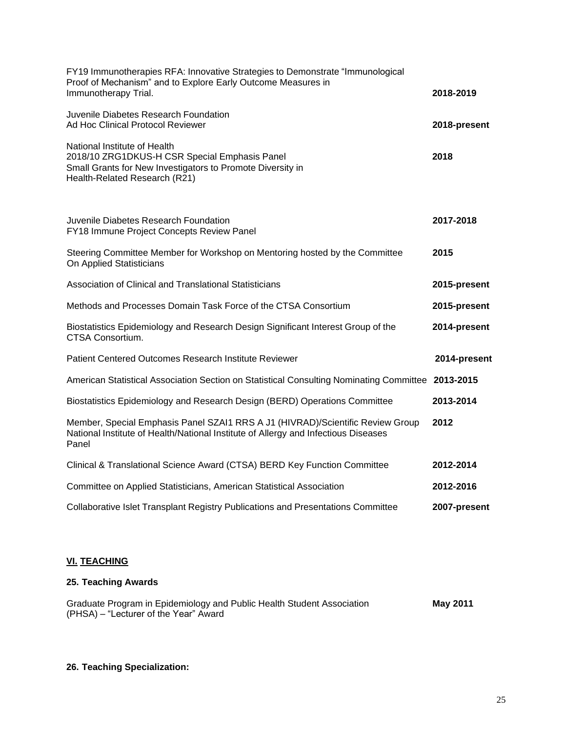| FY19 Immunotherapies RFA: Innovative Strategies to Demonstrate "Immunological<br>Proof of Mechanism" and to Explore Early Outcome Measures in<br>Immunotherapy Trial.         | 2018-2019    |
|-------------------------------------------------------------------------------------------------------------------------------------------------------------------------------|--------------|
| Juvenile Diabetes Research Foundation<br>Ad Hoc Clinical Protocol Reviewer                                                                                                    | 2018-present |
| National Institute of Health<br>2018/10 ZRG1DKUS-H CSR Special Emphasis Panel<br>Small Grants for New Investigators to Promote Diversity in<br>Health-Related Research (R21)  | 2018         |
| Juvenile Diabetes Research Foundation<br>FY18 Immune Project Concepts Review Panel                                                                                            | 2017-2018    |
| Steering Committee Member for Workshop on Mentoring hosted by the Committee<br>On Applied Statisticians                                                                       | 2015         |
| Association of Clinical and Translational Statisticians                                                                                                                       | 2015-present |
| Methods and Processes Domain Task Force of the CTSA Consortium                                                                                                                | 2015-present |
| Biostatistics Epidemiology and Research Design Significant Interest Group of the<br>CTSA Consortium.                                                                          | 2014-present |
| Patient Centered Outcomes Research Institute Reviewer                                                                                                                         | 2014-present |
| American Statistical Association Section on Statistical Consulting Nominating Committee 2013-2015                                                                             |              |
| Biostatistics Epidemiology and Research Design (BERD) Operations Committee                                                                                                    | 2013-2014    |
| Member, Special Emphasis Panel SZAI1 RRS A J1 (HIVRAD)/Scientific Review Group<br>National Institute of Health/National Institute of Allergy and Infectious Diseases<br>Panel | 2012         |
| Clinical & Translational Science Award (CTSA) BERD Key Function Committee                                                                                                     | 2012-2014    |
| Committee on Applied Statisticians, American Statistical Association                                                                                                          | 2012-2016    |
| Collaborative Islet Transplant Registry Publications and Presentations Committee                                                                                              | 2007-present |

## **VI. TEACHING**

## **25. Teaching Awards**

| Graduate Program in Epidemiology and Public Health Student Association | May 2011 |
|------------------------------------------------------------------------|----------|
| (PHSA) – "Lecturer of the Year" Award                                  |          |

## **26. Teaching Specialization:**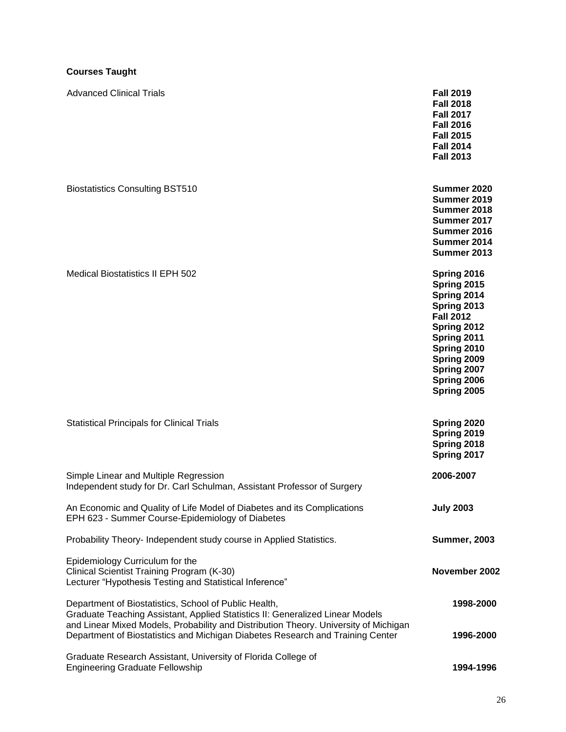## **Courses Taught**

| <b>Advanced Clinical Trials</b>                                                                                                                                                                                                | <b>Fall 2019</b><br><b>Fall 2018</b><br><b>Fall 2017</b><br><b>Fall 2016</b><br><b>Fall 2015</b><br><b>Fall 2014</b><br><b>Fall 2013</b>                                              |
|--------------------------------------------------------------------------------------------------------------------------------------------------------------------------------------------------------------------------------|---------------------------------------------------------------------------------------------------------------------------------------------------------------------------------------|
| <b>Biostatistics Consulting BST510</b>                                                                                                                                                                                         | Summer 2020<br>Summer 2019<br>Summer 2018<br>Summer 2017<br>Summer 2016<br>Summer 2014<br>Summer 2013                                                                                 |
| Medical Biostatistics II EPH 502                                                                                                                                                                                               | Spring 2016<br>Spring 2015<br>Spring 2014<br>Spring 2013<br><b>Fall 2012</b><br>Spring 2012<br>Spring 2011<br>Spring 2010<br>Spring 2009<br>Spring 2007<br>Spring 2006<br>Spring 2005 |
| <b>Statistical Principals for Clinical Trials</b>                                                                                                                                                                              | Spring 2020<br>Spring 2019<br>Spring 2018<br>Spring 2017                                                                                                                              |
| Simple Linear and Multiple Regression<br>Independent study for Dr. Carl Schulman, Assistant Professor of Surgery                                                                                                               | 2006-2007                                                                                                                                                                             |
| An Economic and Quality of Life Model of Diabetes and its Complications<br>EPH 623 - Summer Course-Epidemiology of Diabetes                                                                                                    | <b>July 2003</b>                                                                                                                                                                      |
| Probability Theory- Independent study course in Applied Statistics.                                                                                                                                                            | <b>Summer, 2003</b>                                                                                                                                                                   |
| Epidemiology Curriculum for the<br>Clinical Scientist Training Program (K-30)<br>Lecturer "Hypothesis Testing and Statistical Inference"                                                                                       | November 2002                                                                                                                                                                         |
| Department of Biostatistics, School of Public Health,<br>Graduate Teaching Assistant, Applied Statistics II: Generalized Linear Models<br>and Linear Mixed Models, Probability and Distribution Theory. University of Michigan | 1998-2000                                                                                                                                                                             |
| Department of Biostatistics and Michigan Diabetes Research and Training Center<br>Graduate Research Assistant, University of Florida College of<br><b>Engineering Graduate Fellowship</b>                                      | 1996-2000<br>1994-1996                                                                                                                                                                |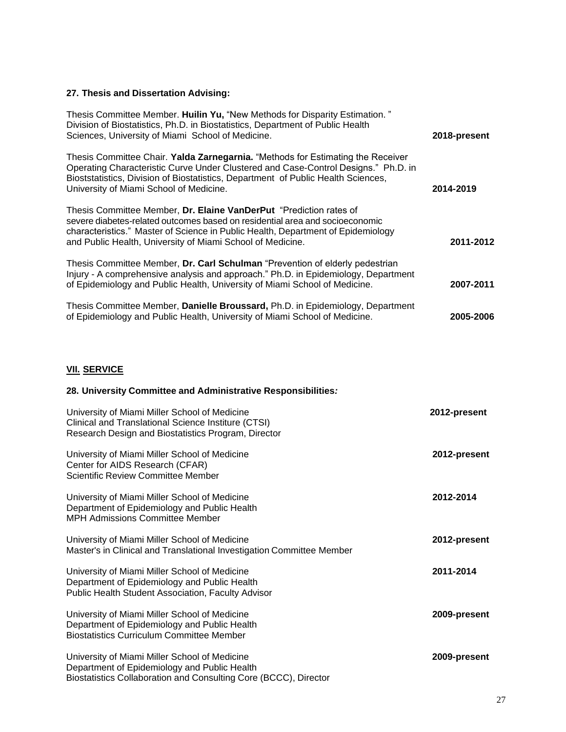## **27. Thesis and Dissertation Advising:**

| Thesis Committee Member. Huilin Yu, "New Methods for Disparity Estimation."<br>Division of Biostatistics, Ph.D. in Biostatistics, Department of Public Health<br>Sciences, University of Miami School of Medicine.                                                                                    | 2018-present |
|-------------------------------------------------------------------------------------------------------------------------------------------------------------------------------------------------------------------------------------------------------------------------------------------------------|--------------|
| Thesis Committee Chair. Yalda Zarnegarnia. "Methods for Estimating the Receiver<br>Operating Characteristic Curve Under Clustered and Case-Control Designs." Ph.D. in<br>Bioststatistics, Division of Biostatistics, Department of Public Health Sciences,<br>University of Miami School of Medicine. | 2014-2019    |
| Thesis Committee Member, Dr. Elaine VanDerPut "Prediction rates of<br>severe diabetes-related outcomes based on residential area and socioeconomic<br>characteristics." Master of Science in Public Health, Department of Epidemiology<br>and Public Health, University of Miami School of Medicine.  | 2011-2012    |
| Thesis Committee Member, Dr. Carl Schulman "Prevention of elderly pedestrian"<br>Injury - A comprehensive analysis and approach." Ph.D. in Epidemiology, Department<br>of Epidemiology and Public Health, University of Miami School of Medicine.                                                     | 2007-2011    |
| Thesis Committee Member, Danielle Broussard, Ph.D. in Epidemiology, Department<br>of Epidemiology and Public Health, University of Miami School of Medicine.                                                                                                                                          | 2005-2006    |

## **VII. SERVICE**

## **28. University Committee and Administrative Responsibilities***:*

| University of Miami Miller School of Medicine<br>Clinical and Translational Science Institure (CTSI)<br>Research Design and Biostatistics Program, Director       | 2012-present |
|-------------------------------------------------------------------------------------------------------------------------------------------------------------------|--------------|
| University of Miami Miller School of Medicine<br>Center for AIDS Research (CFAR)<br><b>Scientific Review Committee Member</b>                                     | 2012-present |
| University of Miami Miller School of Medicine<br>Department of Epidemiology and Public Health<br><b>MPH Admissions Committee Member</b>                           | 2012-2014    |
| University of Miami Miller School of Medicine<br>Master's in Clinical and Translational Investigation Committee Member                                            | 2012-present |
| University of Miami Miller School of Medicine<br>Department of Epidemiology and Public Health<br>Public Health Student Association, Faculty Advisor               | 2011-2014    |
| University of Miami Miller School of Medicine<br>Department of Epidemiology and Public Health<br><b>Biostatistics Curriculum Committee Member</b>                 | 2009-present |
| University of Miami Miller School of Medicine<br>Department of Epidemiology and Public Health<br>Biostatistics Collaboration and Consulting Core (BCCC), Director | 2009-present |